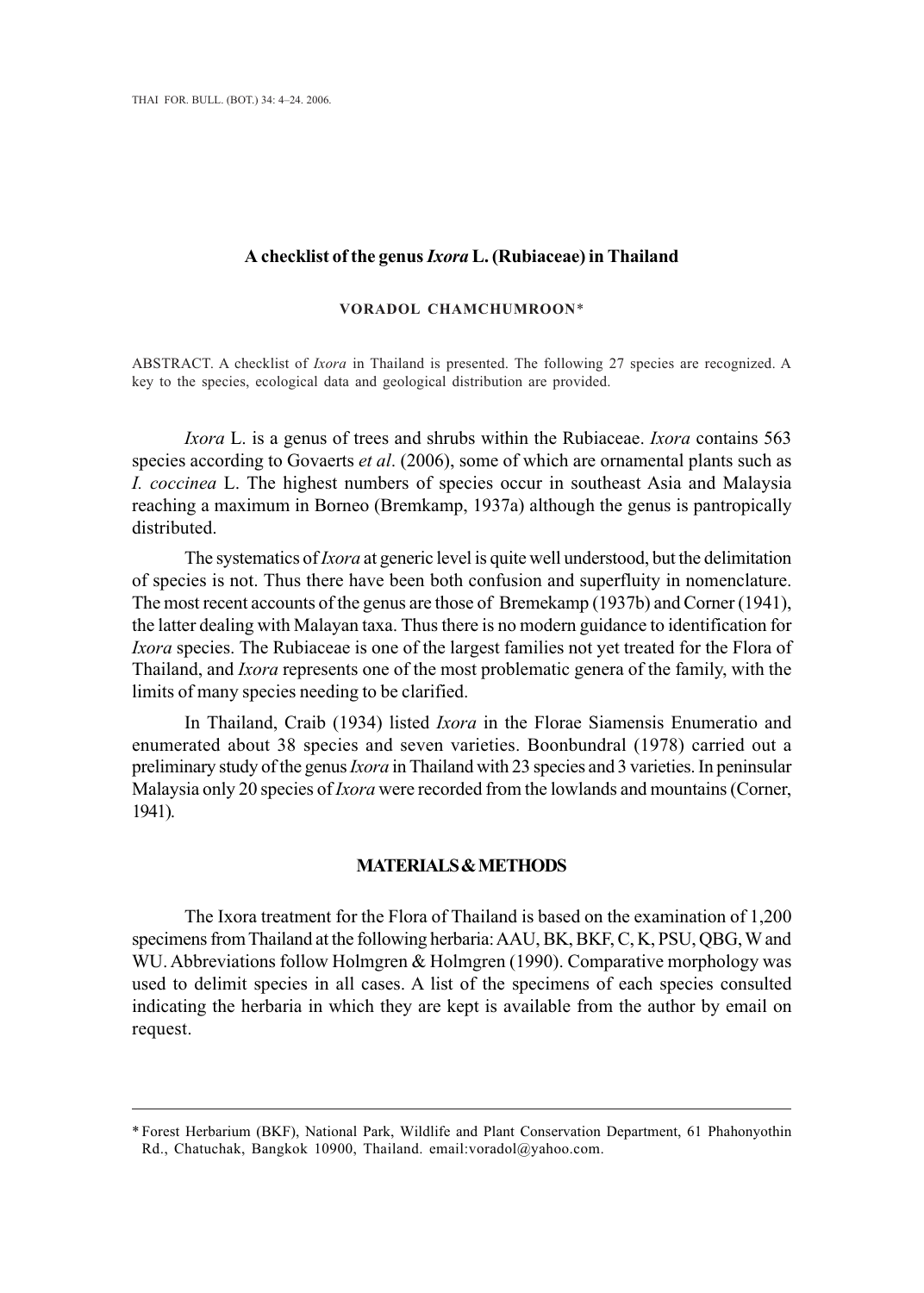## **A checklist of the genus** *Ixora* **L. (Rubiaceae) in Thailand**

#### **VORADOL CHAMCHUMROON**\*

ABSTRACT. A checklist of *Ixora* in Thailand is presented. The following 27 species are recognized. A key to the species, ecological data and geological distribution are provided.

*Ixora* L. is a genus of trees and shrubs within the Rubiaceae. *Ixora* contains 563 species according to Govaerts *et al*. (2006), some of which are ornamental plants such as *I. coccinea* L. The highest numbers of species occur in southeast Asia and Malaysia reaching a maximum in Borneo (Bremkamp, 1937a) although the genus is pantropically distributed.

The systematics of *Ixora* at generic level is quite well understood, but the delimitation of species is not. Thus there have been both confusion and superfluity in nomenclature. The most recent accounts of the genus are those of Bremekamp (1937b) and Corner (1941), the latter dealing with Malayan taxa. Thus there is no modern guidance to identification for *Ixora* species. The Rubiaceae is one of the largest families not yet treated for the Flora of Thailand, and *Ixora* represents one of the most problematic genera of the family, with the limits of many species needing to be clarified.

In Thailand, Craib (1934) listed *Ixora* in the Florae Siamensis Enumeratio and enumerated about 38 species and seven varieties. Boonbundral (1978) carried out a preliminary study of the genus *Ixora* in Thailand with 23 species and 3 varieties. In peninsular Malaysia only 20 species of *Ixora* were recorded from the lowlands and mountains (Corner, 1941).

# **MATERIALS & METHODS**

The Ixora treatment for the Flora of Thailand is based on the examination of 1,200 specimens from Thailand at the following herbaria: AAU, BK, BKF, C, K, PSU, QBG, W and WU. Abbreviations follow Holmgren & Holmgren (1990). Comparative morphology was used to delimit species in all cases. A list of the specimens of each species consulted indicating the herbaria in which they are kept is available from the author by email on request.

<sup>\*</sup> Forest Herbarium (BKF), National Park, Wildlife and Plant Conservation Department, 61 Phahonyothin Rd., Chatuchak, Bangkok 10900, Thailand. email:voradol@yahoo.com.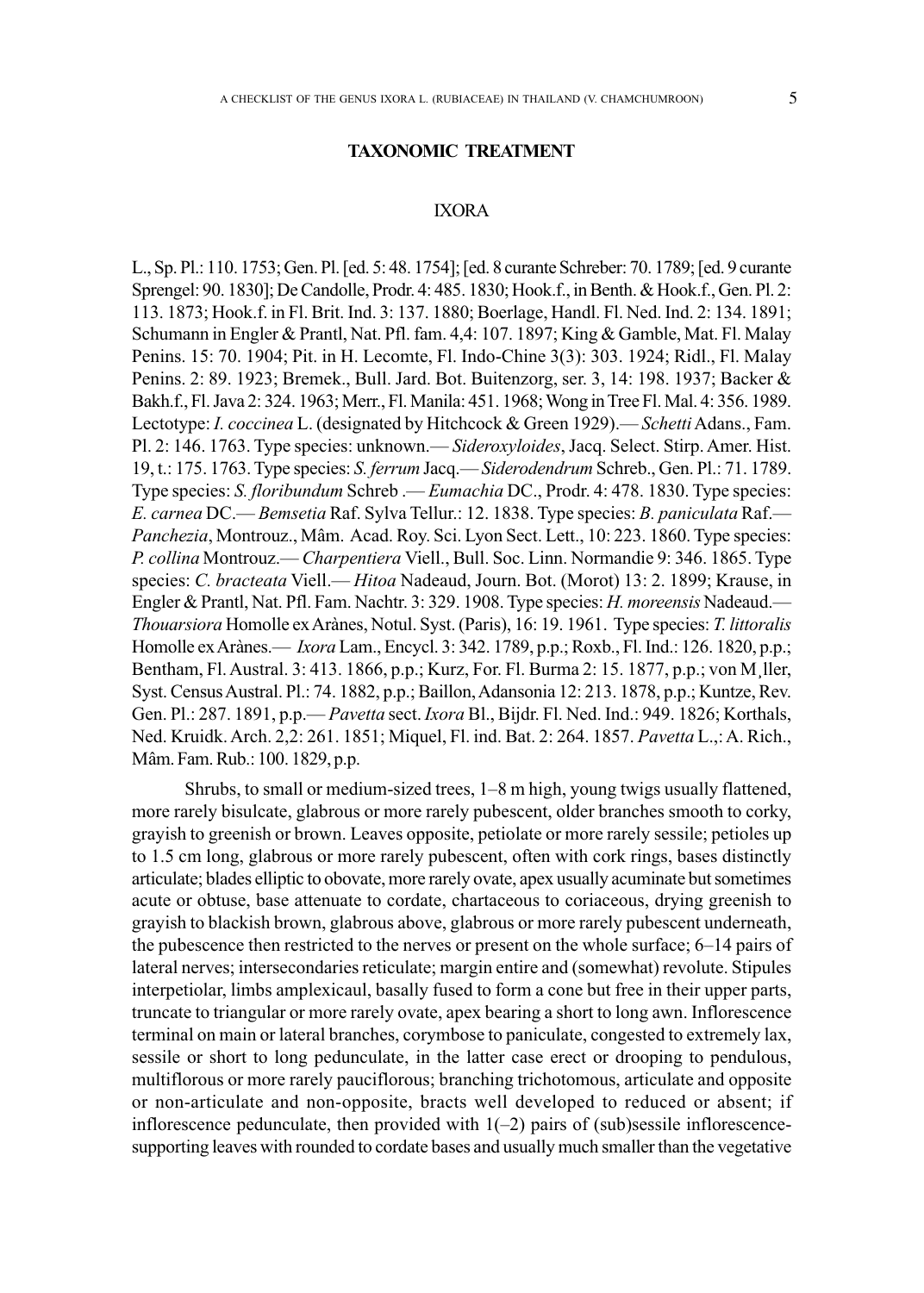## **TAXONOMIC TREATMENT**

# IXORA

L., Sp. Pl.: 110. 1753; Gen. Pl. [ed. 5: 48. 1754]; [ed. 8 curante Schreber: 70. 1789; [ed. 9 curante Sprengel: 90. 1830]; De Candolle, Prodr. 4: 485. 1830; Hook.f., in Benth. & Hook.f., Gen. Pl. 2: 113. 1873; Hook.f. in Fl. Brit. Ind. 3: 137. 1880; Boerlage, Handl. Fl. Ned. Ind. 2: 134. 1891; Schumann in Engler & Prantl, Nat. Pfl. fam. 4,4: 107. 1897; King & Gamble, Mat. Fl. Malay Penins. 15: 70. 1904; Pit. in H. Lecomte, Fl. Indo-Chine 3(3): 303. 1924; Ridl., Fl. Malay Penins. 2: 89. 1923; Bremek., Bull. Jard. Bot. Buitenzorg, ser. 3, 14: 198. 1937; Backer & Bakh.f., Fl. Java 2: 324. 1963; Merr., Fl. Manila: 451. 1968; Wong in Tree Fl. Mal. 4: 356. 1989. Lectotype: *I. coccinea* L. (designated by Hitchcock & Green 1929).— *Schetti* Adans., Fam. Pl. 2: 146. 1763. Type species: unknown.— *Sideroxyloides*, Jacq. Select. Stirp. Amer. Hist. 19, t.: 175. 1763. Type species: *S. ferrum* Jacq.—*Siderodendrum* Schreb., Gen. Pl.: 71. 1789. Type species: *S. floribundum* Schreb .— *Eumachia* DC., Prodr. 4: 478. 1830. Type species: *E. carnea* DC.— *Bemsetia* Raf. Sylva Tellur.: 12. 1838. Type species: *B. paniculata* Raf.— *Panchezia*, Montrouz., Mâm. Acad. Roy. Sci. Lyon Sect. Lett., 10: 223. 1860. Type species: *P. collina* Montrouz.— *Charpentiera* Viell., Bull. Soc. Linn. Normandie 9: 346. 1865. Type species: *C. bracteata* Viell.— *Hitoa* Nadeaud, Journ. Bot. (Morot) 13: 2. 1899; Krause, in Engler & Prantl, Nat. Pfl. Fam. Nachtr. 3: 329. 1908. Type species: *H. moreensis* Nadeaud.— *Thouarsiora* Homolle ex Arànes, Notul. Syst. (Paris), 16: 19. 1961. Type species: *T. littoralis* Homolle ex Arànes.— *Ixora* Lam., Encycl. 3: 342. 1789, p.p.; Roxb., Fl. Ind.: 126. 1820, p.p.; Bentham, Fl. Austral. 3: 413. 1866, p.p.; Kurz, For. Fl. Burma 2: 15. 1877, p.p.; von M¸ller, Syst. Census Austral. Pl.: 74. 1882, p.p.; Baillon, Adansonia 12: 213. 1878, p.p.; Kuntze, Rev. Gen. Pl.: 287. 1891, p.p.— *Pavetta* sect. *Ixora* Bl., Bijdr. Fl. Ned. Ind.: 949. 1826; Korthals, Ned. Kruidk. Arch. 2,2: 261. 1851; Miquel, Fl. ind. Bat. 2: 264. 1857. *Pavetta* L.,: A. Rich., Mâm. Fam. Rub.: 100. 1829, p.p.

Shrubs, to small or medium-sized trees, 1–8 m high, young twigs usually flattened, more rarely bisulcate, glabrous or more rarely pubescent, older branches smooth to corky, grayish to greenish or brown. Leaves opposite, petiolate or more rarely sessile; petioles up to 1.5 cm long, glabrous or more rarely pubescent, often with cork rings, bases distinctly articulate; blades elliptic to obovate, more rarely ovate, apex usually acuminate but sometimes acute or obtuse, base attenuate to cordate, chartaceous to coriaceous, drying greenish to grayish to blackish brown, glabrous above, glabrous or more rarely pubescent underneath, the pubescence then restricted to the nerves or present on the whole surface; 6–14 pairs of lateral nerves; intersecondaries reticulate; margin entire and (somewhat) revolute. Stipules interpetiolar, limbs amplexicaul, basally fused to form a cone but free in their upper parts, truncate to triangular or more rarely ovate, apex bearing a short to long awn. Inflorescence terminal on main or lateral branches, corymbose to paniculate, congested to extremely lax, sessile or short to long pedunculate, in the latter case erect or drooping to pendulous, multiflorous or more rarely pauciflorous; branching trichotomous, articulate and opposite or non-articulate and non-opposite, bracts well developed to reduced or absent; if inflorescence pedunculate, then provided with  $1(-2)$  pairs of (sub)sessile inflorescencesupporting leaves with rounded to cordate bases and usually much smaller than the vegetative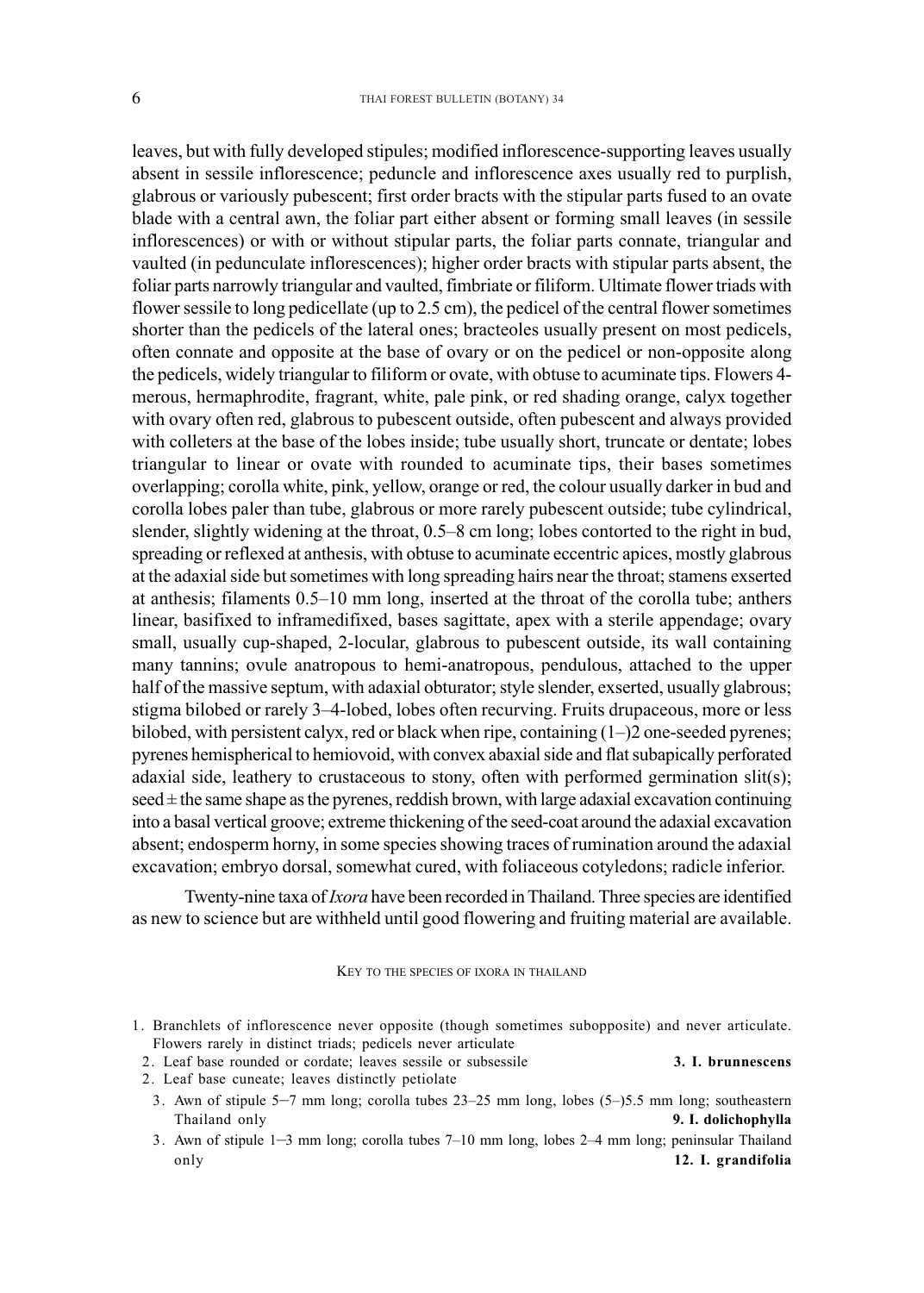leaves, but with fully developed stipules; modified inflorescence-supporting leaves usually absent in sessile inflorescence; peduncle and inflorescence axes usually red to purplish, glabrous or variously pubescent; first order bracts with the stipular parts fused to an ovate blade with a central awn, the foliar part either absent or forming small leaves (in sessile inflorescences) or with or without stipular parts, the foliar parts connate, triangular and vaulted (in pedunculate inflorescences); higher order bracts with stipular parts absent, the foliar parts narrowly triangular and vaulted, fimbriate or filiform. Ultimate flower triads with flower sessile to long pedicellate (up to 2.5 cm), the pedicel of the central flower sometimes shorter than the pedicels of the lateral ones; bracteoles usually present on most pedicels, often connate and opposite at the base of ovary or on the pedicel or non-opposite along the pedicels, widely triangular to filiform or ovate, with obtuse to acuminate tips. Flowers 4 merous, hermaphrodite, fragrant, white, pale pink, or red shading orange, calyx together with ovary often red, glabrous to pubescent outside, often pubescent and always provided with colleters at the base of the lobes inside; tube usually short, truncate or dentate; lobes triangular to linear or ovate with rounded to acuminate tips, their bases sometimes overlapping; corolla white, pink, yellow, orange or red, the colour usually darker in bud and corolla lobes paler than tube, glabrous or more rarely pubescent outside; tube cylindrical, slender, slightly widening at the throat, 0.5–8 cm long; lobes contorted to the right in bud, spreading or reflexed at anthesis, with obtuse to acuminate eccentric apices, mostly glabrous at the adaxial side but sometimes with long spreading hairs near the throat; stamens exserted at anthesis; filaments 0.5–10 mm long, inserted at the throat of the corolla tube; anthers linear, basifixed to inframedifixed, bases sagittate, apex with a sterile appendage; ovary small, usually cup-shaped, 2-locular, glabrous to pubescent outside, its wall containing many tannins; ovule anatropous to hemi-anatropous, pendulous, attached to the upper half of the massive septum, with adaxial obturator; style slender, exserted, usually glabrous; stigma bilobed or rarely 3–4-lobed, lobes often recurving. Fruits drupaceous, more or less bilobed, with persistent calyx, red or black when ripe, containing (1–)2 one-seeded pyrenes; pyrenes hemispherical to hemiovoid, with convex abaxial side and flat subapically perforated adaxial side, leathery to crustaceous to stony, often with performed germination slit(s);  $\operatorname{seed}$   $\pm$  the same shape as the pyrenes, reddish brown, with large adaxial excavation continuing into a basal vertical groove; extreme thickening of the seed-coat around the adaxial excavation absent; endosperm horny, in some species showing traces of rumination around the adaxial excavation; embryo dorsal, somewhat cured, with foliaceous cotyledons; radicle inferior.

Twenty-nine taxa of *Ixora* have been recorded in Thailand. Three species are identified as new to science but are withheld until good flowering and fruiting material are available.

### KEY TO THE SPECIES OF IXORA IN THAILAND

1. Branchlets of inflorescence never opposite (though sometimes subopposite) and never articulate. Flowers rarely in distinct triads; pedicels never articulate

2. Leaf base rounded or cordate; leaves sessile or subsessile **3. I. brunnescens**

- 2. Leaf base cuneate; leaves distinctly petiolate
- 3. Awn of stipule 5–7 mm long; corolla tubes 23–25 mm long, lobes (5–)5.5 mm long; southeastern Thailand only **9. I. dolichophylla**
- 3. Awn of stipule 1–3 mm long; corolla tubes 7–10 mm long, lobes 2–4 mm long; peninsular Thailand only **12. I. grandifolia**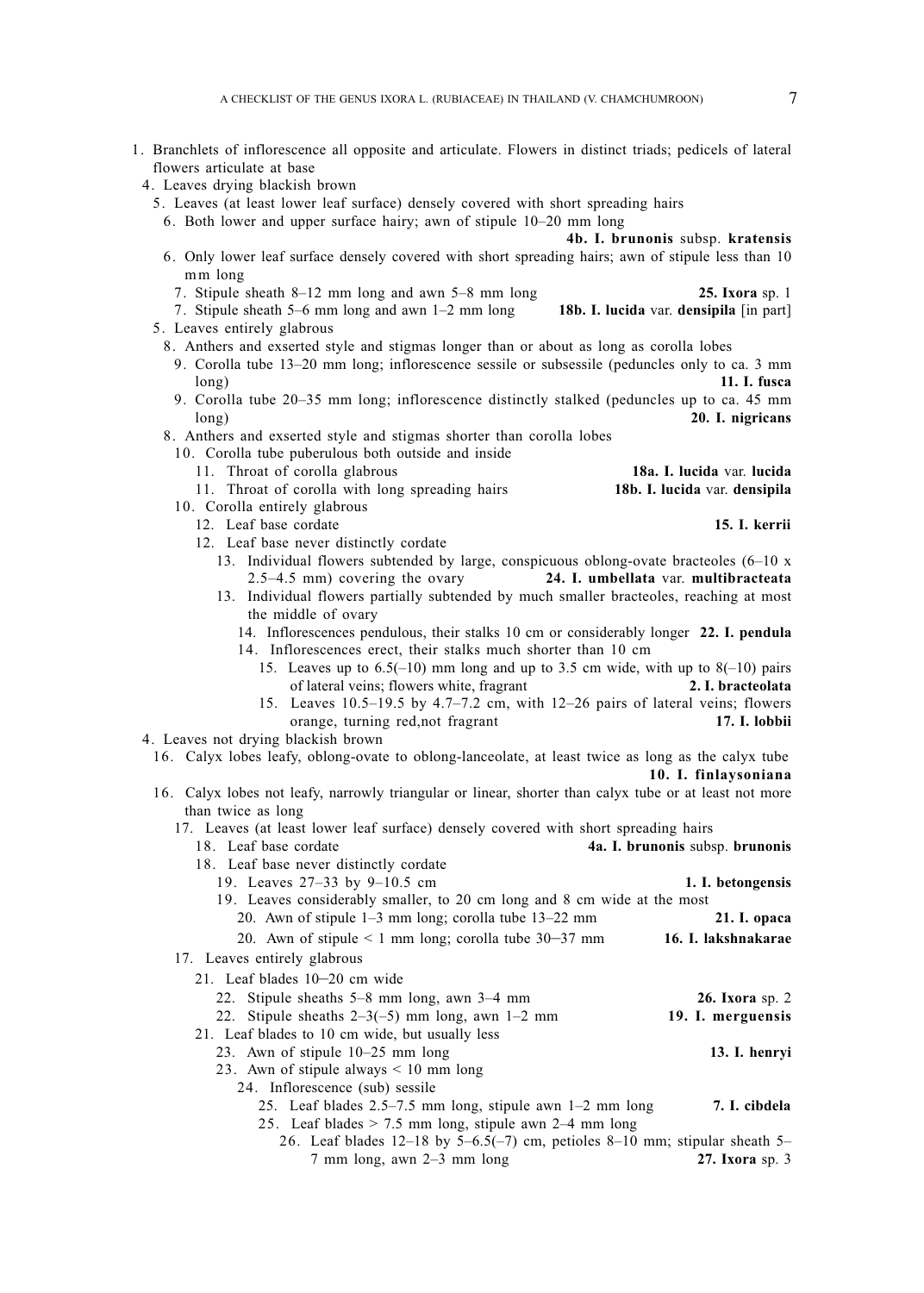- 1. Branchlets of inflorescence all opposite and articulate. Flowers in distinct triads; pedicels of lateral flowers articulate at base
- 4. Leaves drying blackish brown
	- 5. Leaves (at least lower leaf surface) densely covered with short spreading hairs
		- 6. Both lower and upper surface hairy; awn of stipule 10–20 mm long

**4b. I. brunonis** subsp. **kratensis**

- 6. Only lower leaf surface densely covered with short spreading hairs; awn of stipule less than 10 mm long
	- 7. Stipule sheath 8–12 mm long and awn 5–8 mm long **25. Ixora** sp. 1
- 7. Stipule sheath  $5-6$  mm long and awn  $1-2$  mm long
- 5. Leaves entirely glabrous
	- 8. Anthers and exserted style and stigmas longer than or about as long as corolla lobes
		- 9. Corolla tube 13–20 mm long; inflorescence sessile or subsessile (peduncles only to ca. 3 mm long) **11. I. fusca**
		- 9. Corolla tube 20–35 mm long; inflorescence distinctly stalked (peduncles up to ca. 45 mm long) **20. I. nigricans**
	- 8. Anthers and exserted style and stigmas shorter than corolla lobes

10. Corolla tube puberulous both outside and inside

- 11. Throat of corolla glabrous **18a. I. lucida** var. **lucida**
- 11. Throat of corolla with long spreading hairs **18b. I. lucida** var. **densipila**
- 10. Corolla entirely glabrous
	- 12. Leaf base cordate **15. I. kerrii**
	- 12. Leaf base never distinctly cordate
		- 13. Individual flowers subtended by large, conspicuous oblong-ovate bracteoles (6–10 x 2.5–4.5 mm) covering the ovary **24. I. umbellata** var. **multibracteata**
		- 13. Individual flowers partially subtended by much smaller bracteoles, reaching at most the middle of ovary
			- 14. Inflorescences pendulous, their stalks 10 cm or considerably longer **22. I. pendula** 14. Inflorescences erect, their stalks much shorter than 10 cm
				- 15. Leaves up to  $6.5(-10)$  mm long and up to 3.5 cm wide, with up to  $8(-10)$  pairs of lateral veins; flowers white, fragrant **2. I. bracteolata**
				- 15. Leaves  $10.5-19.5$  by  $4.7-7.2$  cm, with  $12-26$  pairs of lateral veins; flowers orange, turning red.not fragrant 17. **I.** lobbii orange, turning red,not fragrant
- 4. Leaves not drying blackish brown
	- 16. Calyx lobes leafy, oblong-ovate to oblong-lanceolate, at least twice as long as the calyx tube

**10. I. finlaysoniana**

- 16. Calyx lobes not leafy, narrowly triangular or linear, shorter than calyx tube or at least not more than twice as long
	- 17. Leaves (at least lower leaf surface) densely covered with short spreading hairs
	- 18. Leaf base cordate **4a. I. brunonis** subsp. **brunonis** 18. Leaf base never distinctly cordate 19. Leaves 27–33 by 9–10.5 cm **1. I. betongensis** 19. Leaves considerably smaller, to 20 cm long and 8 cm wide at the most 20. Awn of stipule 1–3 mm long; corolla tube 13–22 mm **21. I. opaca** 20. Awn of stipule < 1 mm long; corolla tube 30–37 mm **16. I. lakshnakarae** 17. Leaves entirely glabrous 21. Leaf blades 10–20 cm wide 22. Stipule sheaths 5–8 mm long, awn 3–4 mm<br>
	22. Stipule sheaths 2–3(–5) mm long, awn 1–2 mm<br>
	20. **I. merguensis** 22. Stipule sheaths  $2-3(-5)$  mm long, awn  $1-2$  mm 21. Leaf blades to 10 cm wide, but usually less 23. Awn of stipule 10–25 mm long **13. I. henryi** 23. Awn of stipule always < 10 mm long 24. Inflorescence (sub) sessile 25. Leaf blades 2.5–7.5 mm long, stipule awn 1–2 mm long **7. I. cibdela** 25. Leaf blades > 7.5 mm long, stipule awn 2–4 mm long 26. Leaf blades 12–18 by 5–6.5(–7) cm, petioles 8–10 mm; stipular sheath 5– 7 mm long, awn 2–3 mm long **27. Ixora** sp. 3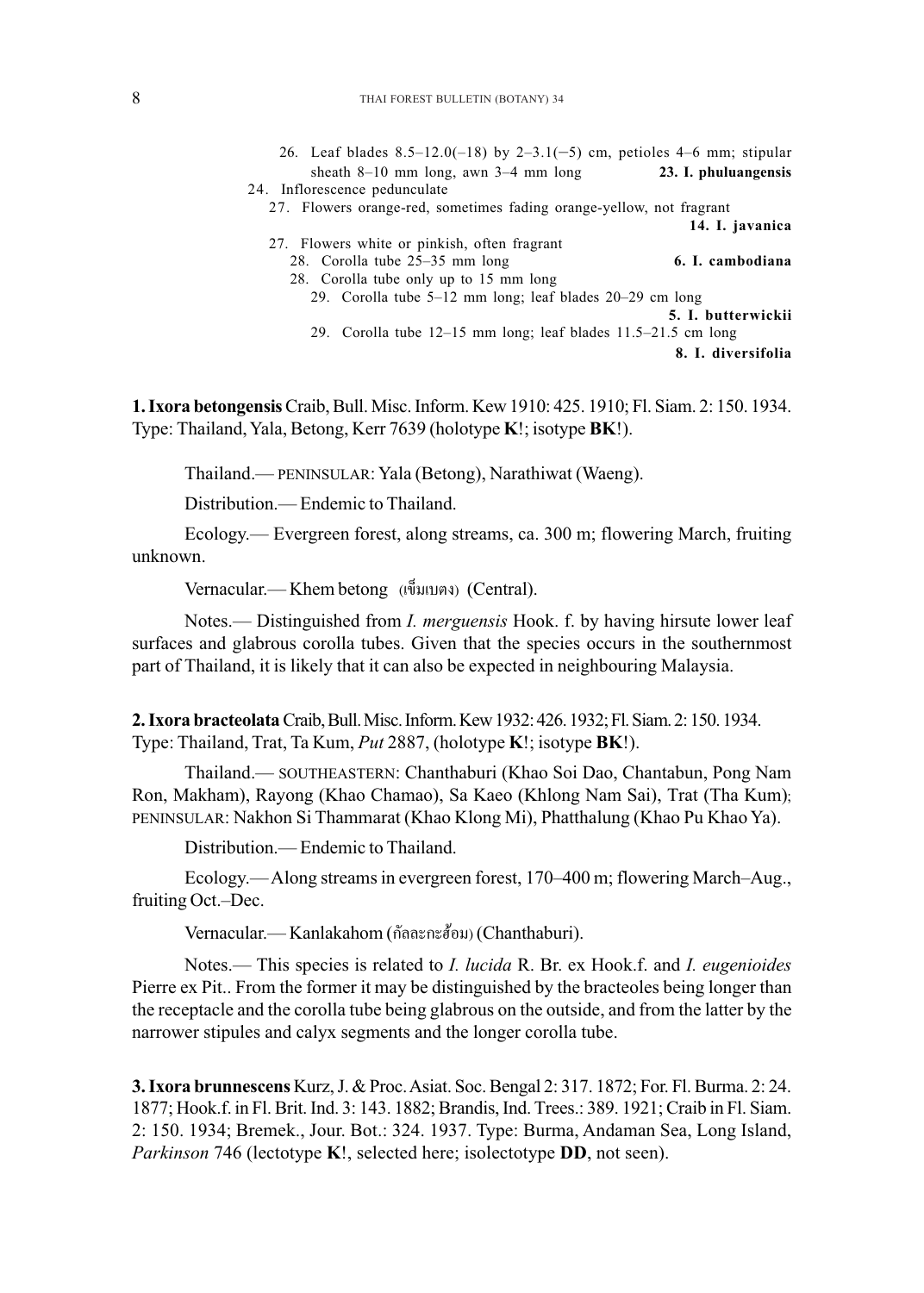| 26. Leaf blades $8.5-12.0(-18)$ by $2-3.1(-5)$ cm, petioles 4-6 mm; stipular                                                                                                                                                            |
|-----------------------------------------------------------------------------------------------------------------------------------------------------------------------------------------------------------------------------------------|
| sheath $8-10$ mm long, awn $3-4$ mm long<br>23. I. phuluangensis                                                                                                                                                                        |
| 24. Inflorescence pedunculate                                                                                                                                                                                                           |
| 27. Flowers orange-red, sometimes fading orange-yellow, not fragrant                                                                                                                                                                    |
| 14. I. javanica                                                                                                                                                                                                                         |
| 27. Flowers white or pinkish, often fragrant                                                                                                                                                                                            |
| 28. Corolla tube 25–35 mm long<br>6. I. cambodiana                                                                                                                                                                                      |
| 28. Corolla tube only up to 15 mm long                                                                                                                                                                                                  |
| 29. Corolla tube $5-12$ mm long; leaf blades $20-29$ cm long<br>5. I. butterwickii                                                                                                                                                      |
| 29. Corolla tube 12–15 mm long; leaf blades 11.5–21.5 cm long                                                                                                                                                                           |
| 8. I. diversifolia                                                                                                                                                                                                                      |
|                                                                                                                                                                                                                                         |
| <b>gensis</b> Craib, Bull. Misc. Inform. Kew 1910: 425. 1910; Fl. Siam. 2: 150. 1934.<br>d, Yala, Betong, Kerr 7639 (holotype <b>K</b> !; isotype <b>BK</b> !).                                                                         |
| nd.— PENINSULAR: Yala (Betong), Narathiwat (Waeng).                                                                                                                                                                                     |
| vution.— Endemic to Thailand.                                                                                                                                                                                                           |
| sy.— Evergreen forest, along streams, ca. 300 m; flowering March, fruiting                                                                                                                                                              |
| :ular.— Khem betong (เข็มเบตง) (Central).                                                                                                                                                                                               |
| - Distinguished from <i>I. merguensis</i> Hook. f. by having hirsute lower leaf<br>glabrous corolla tubes. Given that the species occurs in the southernmost<br>nd, it is likely that it can also be expected in neighbouring Malaysia. |
| e <b>olata</b> Craib, Bull. Misc. Inform. Kew 1932: 426. 1932; Fl. Siam. 2: 150. 1934.<br>d, Trat, Ta Kum, $Put 2887$ , (holotype <b>K</b> !; isotype <b>BK</b> !).                                                                     |
| nd.— SOUTHEASTERN: Chanthaburi (Khao Soi Dao, Chantabun, Pong Nam                                                                                                                                                                       |

**1. Ixora betongensis** Craib, Bull. Misc. Inform. Kew 1910: 425. 1910; Fl. Siam. 2: 150. 1934. Type: Thailand, Yala, Betong, Kerr 7639 (holotype **K**!; isotype **BK**!).

Thailand.— PENINSULAR: Yala (Betong), Narathiwat (Waeng).

Distribution.— Endemic to Thailand.

Ecology.— Evergreen forest, along streams, ca. 300 m; flowering March, fruiting unknown.

Vernacular.— Khem betong (เข็มเบตง) (Central).

Notes.— Distinguished from *I. merguensis* Hook. f. by having hirsute lower leaf surfaces and glabrous corolla tubes. Given that the species occurs in the southernmost part of Thailand, it is likely that it can also be expected in neighbouring Malaysia.

**2. Ixora bracteolata**Craib, Bull. Misc. Inform. Kew 1932: 426. 1932; Fl. Siam. 2: 150. 1934. Type: Thailand, Trat, Ta Kum, *Put* 2887, (holotype **K**!; isotype **BK**!).

Thailand.— SOUTHEASTERN: Chanthaburi (Khao Soi Dao, Chantabun, Pong Nam Ron, Makham), Rayong (Khao Chamao), Sa Kaeo (Khlong Nam Sai), Trat (Tha Kum); PENINSULAR: Nakhon Si Thammarat (Khao Klong Mi), Phatthalung (Khao Pu Khao Ya).

Distribution.— Endemic to Thailand.

Ecology.—Along streams in evergreen forest, 170–400 m; flowering March–Aug., fruiting Oct.–Dec.

Vernacular.— Kanlakahom (กัลละกะฮ้อม) (Chanthaburi).

Notes.— This species is related to *I. lucida* R. Br. ex Hook.f. and *I. eugenioides* Pierre ex Pit.. From the former it may be distinguished by the bracteoles being longer than the receptacle and the corolla tube being glabrous on the outside, and from the latter by the narrower stipules and calyx segments and the longer corolla tube.

**3. Ixora brunnescens** Kurz, J. & Proc. Asiat. Soc. Bengal 2: 317. 1872; For. Fl. Burma. 2: 24. 1877; Hook.f. in Fl. Brit. Ind. 3: 143. 1882; Brandis, Ind. Trees.: 389. 1921; Craib in Fl. Siam. 2: 150. 1934; Bremek., Jour. Bot.: 324. 1937. Type: Burma, Andaman Sea, Long Island, *Parkinson* 746 (lectotype **K**!, selected here; isolectotype **DD**, not seen).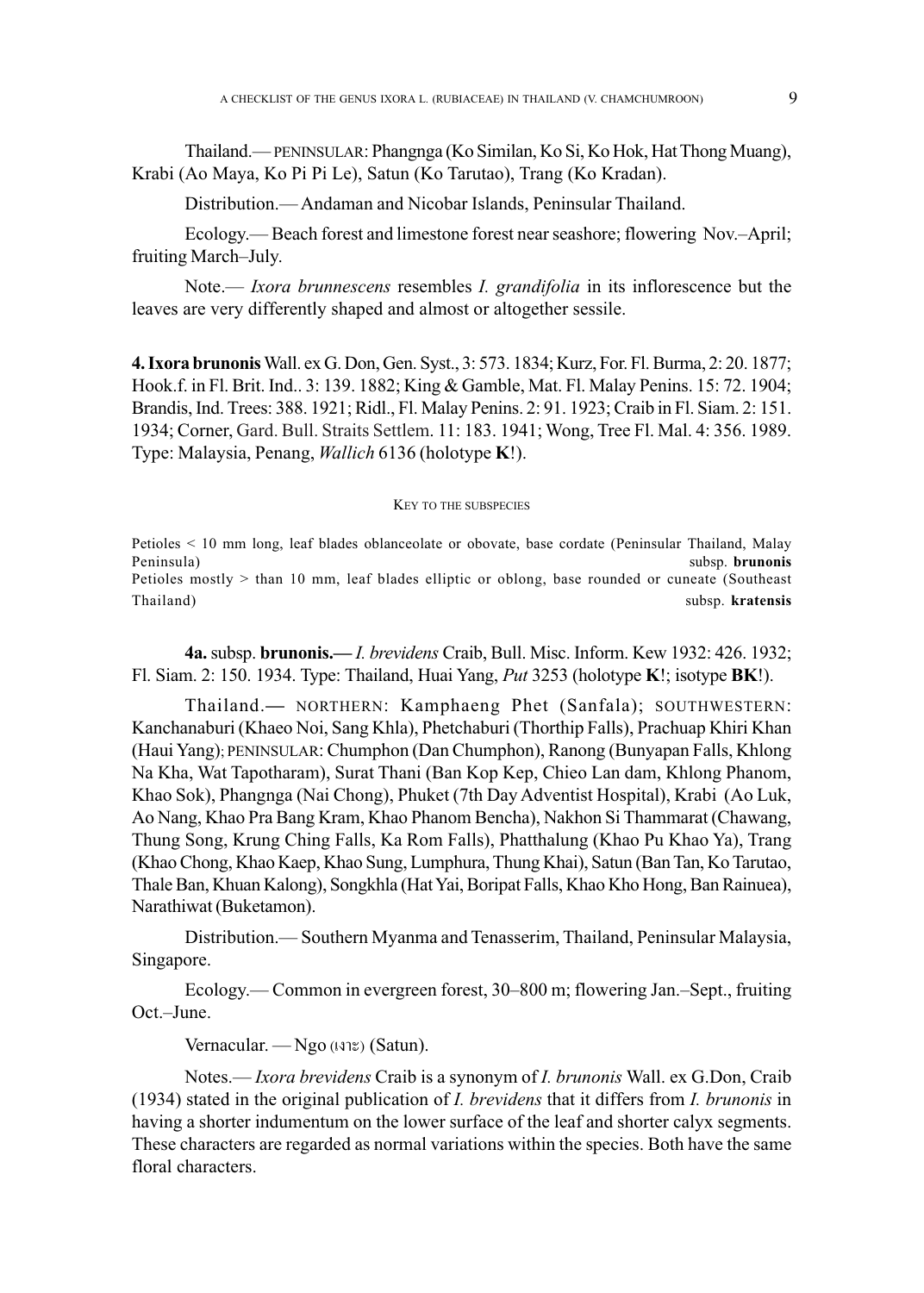Thailand.—PENINSULAR: Phangnga (Ko Similan, Ko Si, Ko Hok, Hat Thong Muang), Krabi (Ao Maya, Ko Pi Pi Le), Satun (Ko Tarutao), Trang (Ko Kradan). Thailand.—PENINSULAR: Si, Ko Hok, (Ao Maya, Ko Pi Pi Le), Satun (Ko Tarutao), Trang (Ko Kradan).

Distribution.— Andaman and Nicobar Islands, Peninsular Thailand.

Ecology.— Beach forest and limestone forest near seashore; flowering Nov.–April; fruiting March–July.

Note.— *Ixora brunnescens* resembles *I. grandifolia* in its inflorescence but the leaves are very differently shaped and almost or altogether sessile.

**4. Ixora brunonis** Wall. ex G. Don, Gen. Syst., 3: 573. 1834; Kurz, For. Fl. Burma, 2: 20. 1877; Hook.f. in Fl. Brit. Ind.. 3: 139. 1882; King & Gamble, Mat. Fl. Malay Penins. 15: 72. 1904; Brandis, Ind. Trees: 388. 1921; Ridl., Fl. Malay Penins. 2: 91. 1923; Craib in Fl. Siam. 2: 151. 1934; Corner, Gard. Bull. Straits Settlem. 11: 183. 1941; Wong, Tree Fl. Mal. 4: 356. 1989. Type: Malaysia, Penang, *Wallich* 6136 (holotype **K**!).

### KEY TO THE SUBSPECIES

Petioles < 10 mm long, leaf blades oblanceolate or obovate, base cordate (Peninsular Thailand, Malay Peninsula) subsp. **brunonis** Petioles mostly > than 10 mm, leaf blades elliptic or oblong, base rounded or cuneate (Southeast Thailand) subsp. **kratensis** 

**4a.** subsp. **brunonis.—** *I. brevidens* Craib, Bull. Misc. Inform. Kew 1932: 426. 1932; Fl. Siam. 2: 150. 1934. Type: Thailand, Huai Yang, *Put* 3253 (holotype **K**!; isotype **BK**!).

Thailand.**—** NORTHERN: Kamphaeng Phet (Sanfala); SOUTHWESTERN: Kanchanaburi (Khaeo Noi, Sang Khla), Phetchaburi (Thorthip Falls), Prachuap Khiri Khan (Haui Yang); PENINSULAR: Chumphon (Dan Chumphon), Ranong (Bunyapan Falls, Khlong Na Kha, Wat Tapotharam), Surat Thani (Ban Kop Kep, Chieo Lan dam, Khlong Phanom, Khao Sok), Phangnga (Nai Chong), Phuket (7th Day Adventist Hospital), Krabi (Ao Luk, Ao Nang, Khao Pra Bang Kram, Khao Phanom Bencha), Nakhon Si Thammarat (Chawang, Thung Song, Krung Ching Falls, Ka Rom Falls ), Phatthalung (Khao Pu Khao Ya), Trang (Khao Chong, Khao Kaep, Khao Sung, Lumphura, Thung Khai), Satun (Ban Tan, Ko Tarutao, Thale Ban, Khuan Kalong), Songkhla (Hat Yai, Boripat Falls, Khao Kho Hong, Ban Rainuea), Narathiwat (Buketamon). **4a.** subsp. **brunonis.—***I. brevidens* Craib, Bull. Misc. Inform. Kew 1932: 426. 19:<br>
Siam. 2: 150. 1934. Type: Thailand, Huai Yang, Put 3253 (holotype K!; isotype BK!).<br>
Thailand.— NORTHERN: Kamphaeng Phet (Sanfala); SOU

Distribution.— Southern Myanma and Tenasserim, Thailand, Peninsular Malaysia, Singapore.

Ecology.— Common in evergreen forest, 30–800 m; flowering Jan.–Sept., fruiting Oct.–June.

Vernacular. — Ngo  $(\text{N} \mathcal{E})$  (Satun).

Notes.— *Ixora brevidens* Craib is a synonym of *I. brunonis* Wall. ex G.Don, Craib (1934) stated in the original publication of *I. brevidens* that it differs from *I. brunonis* in having a shorter indumentum on the lower surface of the leaf and shorter calyx segments. These characters are regarded as normal variations within the species. Both have the same floral characters.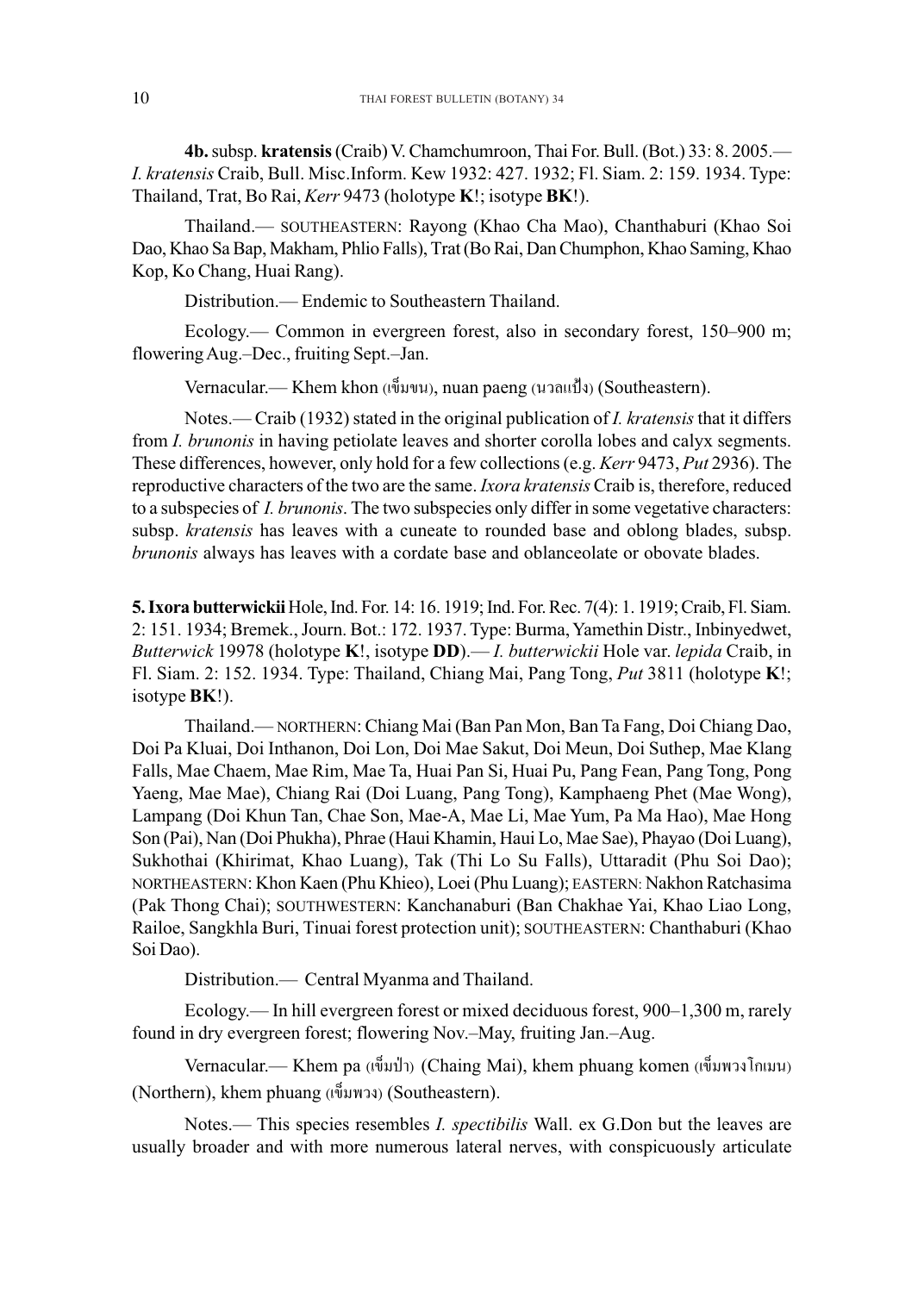**4b.** subsp. **kratensis** (Craib) V. Chamchumroon, Thai For. Bull. (Bot.) 33: 8. 2005.— *I. kratensis* Craib, Bull. Misc.Inform. Kew 1932: 427. 1932; Fl. Siam. 2: 159. 1934. Type: Thailand, Trat, Bo Rai, *Kerr* 9473 (holotype **K**!; isotype **BK**!).

Thailand.— SOUTHEASTERN: Rayong (Khao Cha Mao), Chanthaburi (Khao Soi Dao, Khao Sa Bap, Makham, Phlio Falls), Trat (Bo Rai, Dan Chumphon, Khao Saming, Khao Kop, Ko Chang, Huai Rang).

Distribution.— Endemic to Southeastern Thailand.

Ecology.— Common in evergreen forest, also in secondary forest, 150–900 m; flowering Aug.–Dec., fruiting Sept.–Jan.

Vernacular.— Khem khon (เข็มขน), nuan paeng (นวลแป้ง) (Southeastern).

Notes.— Craib (1932) stated in the original publication of *I. kratensis* that it differs from *I. brunonis* in having petiolate leaves and shorter corolla lobes and calyx segments. These differences, however, only hold for a few collections (e.g. *Kerr* 9473, *Put* 2936). The reproductive characters of the two are the same. *Ixora kratensis* Craib is, therefore, reduced to a subspecies of *I. brunonis*. The two subspecies only differ in some vegetative characters: subsp. *kratensis* has leaves with a cuneate to rounded base and oblong blades, subsp. *brunonis* always has leaves with a cordate base and oblanceolate or obovate blades.

**5.Ixora butterwickii**Hole, Ind. For. 14: 16. 1919; Ind. For. Rec. 7(4): 1. 1919; Craib, Fl. Siam. 2: 151. 1934; Bremek., Journ. Bot.: 172. 1937. Type: Burma, Yamethin Distr., Inbinyedwet, *Butterwick* 19978 (holotype **K**!, isotype **DD**).— *I. butterwickii* Hole var. *lepida* Craib, in Fl. Siam. 2: 152. 1934. Type: Thailand, Chiang Mai, Pang Tong, *Put* 3811 (holotype **K**!; isotype **BK**!).

Thailand.— NORTHERN: Chiang Mai (Ban Pan Mon, Ban Ta Fang, Doi Chiang Dao, Doi Pa Kluai, Doi Inthanon, Doi Lon, Doi Mae Sakut, Doi Meun, Doi Suthep, Mae Klang Falls, Mae Chaem, Mae Rim, Mae Ta, Huai Pan Si, Huai Pu, Pang Fean, Pang Tong, Pong Yaeng, Mae Mae), Chiang Rai (Doi Luang, Pang Tong), Kamphaeng Phet (Mae Wong), Thailand.— NORTHERN: Chiang Mai (Ban Pan Mon, Ban Ta Fang, Doi Chiang Dao,<br>Doi Pa Kluai, Doi Inthanon, Doi Lon, Doi Mae Sakut, Doi Meun, Doi Suthep, Mae Klang<br>Falls, Mae Chaem, Mae Rim, Mae Ta, Huai Pan Si, Huai Pu, Pang F Son (Pai), Nan (Doi Phukha), Phrae (Haui Khamin, Haui Lo, Mae Sae), Phayao (Doi Luang), Sukhothai (Khirimat, Khao Luang), Tak (Thi Lo Su Falls), Uttaradit (Phu Soi Dao); NORTHEASTERN: Khon Kaen (Phu Khieo), Loei (Phu Luang); EASTERN: Nakhon Ratchasima (Pak Thong Chai); SOUTHWESTERN: Kanchanaburi (Ban Chakhae Yai, Khao Liao Long, Railoe, Sangkhla Buri, Tinuai forest protection unit); SOUTHEASTERN: Chanthaburi (Khao Soi Dao).

Distribution.— Central Myanma and Thailand.

Ecology.— In hill evergreen forest or mixed deciduous forest, 900–1,300 m, rarely found in dry evergreen forest; flowering Nov.–May, fruiting Jan.–Aug.

Vernacular.— Khem pa (เข็มป่า) (Chaing Mai), khem phuang komen (เข็มพวงโกเมน) (Northern), khem phuang (เข็มพวง) (Southeastern).

Notes.— This species resembles *I. spectibilis* Wall. ex G.Don but the leaves are usually broader and with more numerous lateral nerves, with conspicuously articulate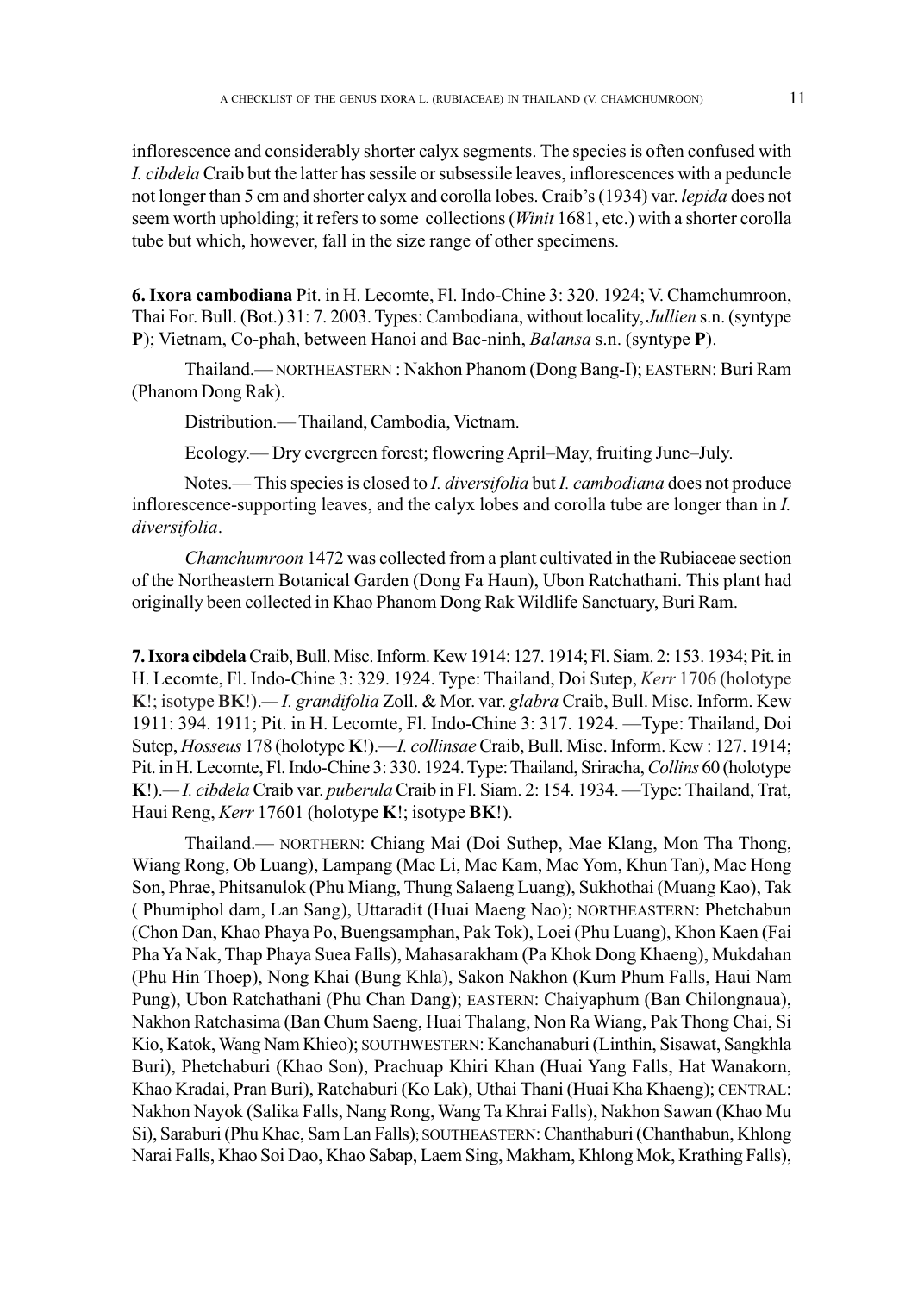inflorescence and considerably shorter calyx segments. The species is often confused with *I. cibdela* Craib but the latter has sessile or subsessile leaves, inflorescences with a peduncle not longer than 5 cm and shorter calyx and corolla lobes. Craib's (1934) var. *lepida* does not seem worth upholding; it refers to some collections (*Winit* 1681, etc.) with a shorter corolla tube but which, however, fall in the size range of other specimens.

**6. Ixora cambodiana** Pit. in H. Lecomte, Fl. Indo-Chine 3: 320. 1924; V. Chamchumroon, Thai For. Bull. (Bot.) 31: 7. 2003. Types: Cambodiana, without locality, *Jullien* s.n. (syntype **P**); Vietnam, Co-phah, between Hanoi and Bac-ninh, *Balansa* s.n. (syntype **P**).

Thailand.— NORTHEASTERN : Nakhon Phanom (Dong Bang-I); EASTERN: Buri Ram (Phanom Dong Rak).

Distribution.— Thailand, Cambodia, Vietnam.

Ecology.— Dry evergreen forest; flowering April–May, fruiting June–July.

Notes.— This species is closed to *I. diversifolia* but *I. cambodiana* does not produce inflorescence-supporting leaves, and the calyx lobes and corolla tube are longer than in *I. diversifolia*.

*Chamchumroon* 1472 was collected from a plant cultivated in the Rubiaceae section of the Northeastern Botanical Garden (Dong Fa Haun), Ubon Ratchathani. This plant had originally been collected in Khao Phanom Dong Rak Wildlife Sanctuary, Buri Ram.

**7. Ixora cibdela** Craib, Bull. Misc. Inform. Kew 1914: 127. 1914; Fl. Siam. 2: 153. 1934; Pit. in H. Lecomte, Fl. Indo-Chine 3: 329. 1924. Type: Thailand, Doi Sutep, *Kerr* 1706 (holotype **K**!; isotype **BK**!).*— I. grandifolia* Zoll. & Mor. var. *glabra* Craib, Bull. Misc. Inform. Kew 1911: 394. 1911; Pit. in H. Lecomte, Fl. Indo-Chine 3: 317. 1924. —Type: Thailand, Doi Sutep, *Hosseus* 178 (holotype **K**!).—*I. collinsae* Craib, Bull. Misc. Inform. Kew : 127. 1914; Pit. in H. Lecomte, Fl. Indo-Chine 3: 330. 1924. Type: Thailand, Sriracha, *Collins* 60 (holotype **K**!).*— I. cibdela* Craib var. *puberula* Craib in Fl. Siam. 2: 154. 1934. —Type: Thailand, Trat, Haui Reng, *Kerr* 17601 (holotype **K**!; isotype **BK**!).

Thailand.— NORTHERN: Chiang Mai (Doi Suthep, Mae Klang, Mon Tha Thong, Wiang Rong, Ob Luang), Lampang (Mae Li, Mae Kam, Mae Yom, Khun Tan), Mae Hong Son, Phrae, Phitsanulok (Phu Miang, Thung Salaeng Luang), Sukhothai (Muang Kao), Tak ( Phumiphol dam, Lan Sang), Uttaradit (Huai Maeng Nao); NORTHEASTERN: Phetchabun (Chon Dan, Khao Phaya Po, Buengsamphan, Pak Tok), Loei (Phu Luang), Khon Kaen (Fai Pha Ya Nak, Thap Phaya Suea Falls), Mahasarakham (Pa Khok Dong Khaeng), Mukdahan (Phu Hin Thoep), Nong Khai (Bung Khla), Sakon Nakhon (Kum Phum Falls, Haui Nam Pung), Ubon Ratchathani (Phu Chan Dang); EASTERN: Chaiyaphum (Ban Chilongnaua), Nakhon Ratchasima (Ban Chum Saeng, Huai Thalang, Non Ra Wiang, Pak Thong Chai, Si Kio, Katok, Wang Nam Khieo); SOUTHWESTERN: Kanchanaburi (Linthin, Sisawat, Sangkhla Buri), Phetchaburi (Khao Son), Prachuap Khiri Khan (Huai Yang Falls, Hat Wanakorn, Khao Kradai, Pran Buri), Ratchaburi (Ko Lak), Uthai Thani (Huai Kha Khaeng); CENTRAL: Nakhon Nayok (Salika Falls, Nang Rong, Wang Ta Khrai Falls), Nakhon Sawan (Khao Mu Si), Saraburi (Phu Khae, Sam Lan Falls); SOUTHEASTERN: Chanthaburi (Chanthabun, Khlong Narai Falls, Khao Soi Dao, Khao Sabap, Laem Sing, Makham, Khlong Mok, Krathing Falls),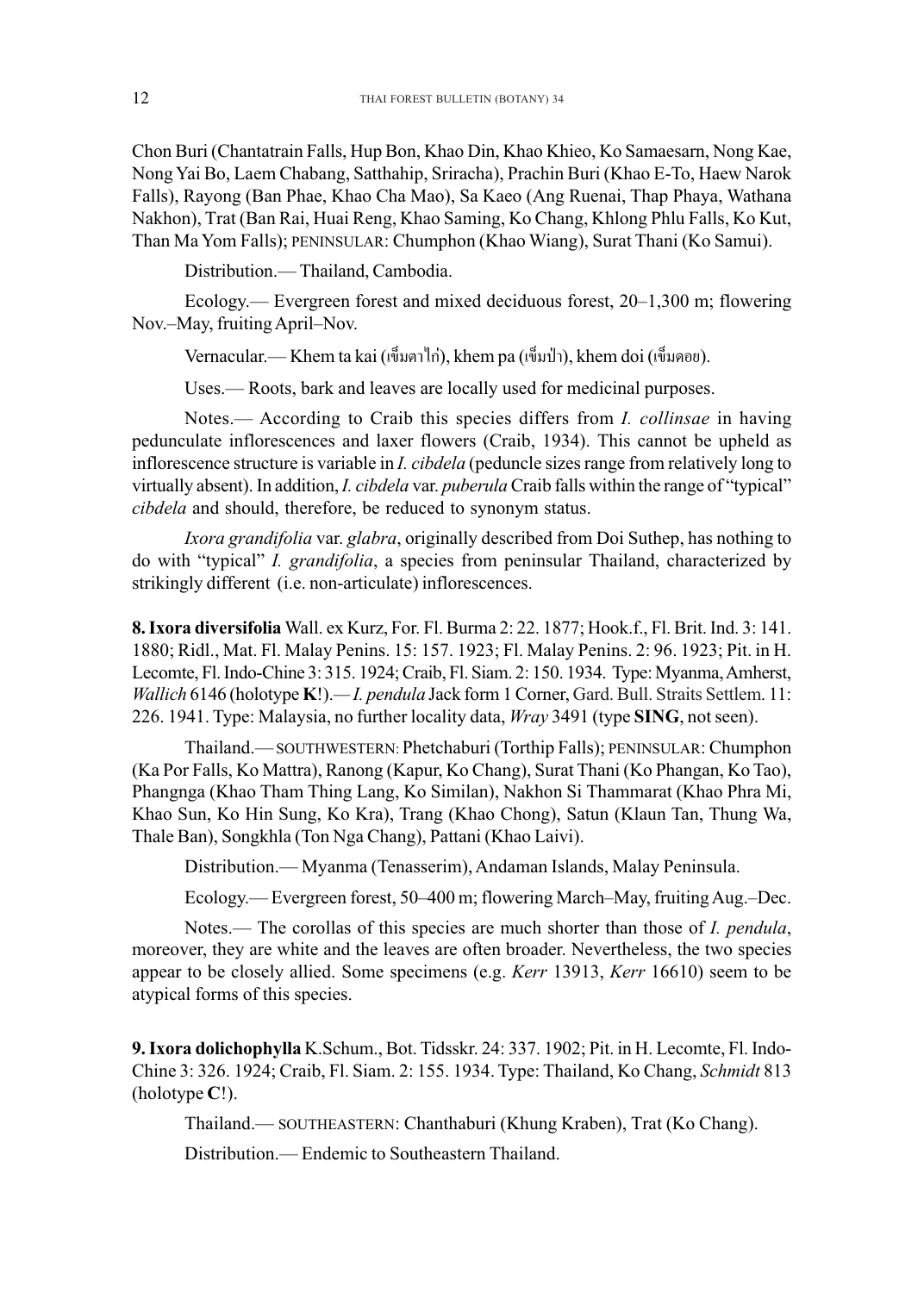Chon Buri (Chantatrain Falls, Hup Bon, Khao Din, Khao Khieo, Ko Samaesarn, Nong Kae, Nong Yai Bo, Laem Chabang, Satthahip, Sriracha), Prachin Buri (Khao E-To, Haew Narok Falls), Rayong (Ban Phae, Khao Cha Mao), Sa Kaeo (Ang Ruenai, Thap Phaya, Wathana Nakhon), Trat (Ban Rai, Huai Reng, Khao Saming, Ko Chang, Khlong Phlu Falls, Ko Kut, Than Ma Yom Falls); PENINSULAR: Chumphon (Khao Wiang), Surat Thani (Ko Samui).

Distribution.— Thailand, Cambodia.

Ecology.— Evergreen forest and mixed deciduous forest, 20–1,300 m; flowering Nov.–May, fruiting April–Nov.

Vernacular.— Khem ta kai (เข็มตาใก่), khem pa (เข็มป่า), khem doi (เข็มดอย).

Uses.— Roots, bark and leaves are locally used for medicinal purposes.

Notes.— According to Craib this species differs from *I. collinsae* in having pedunculate inflorescences and laxer flowers (Craib, 1934). This cannot be upheld as inflorescence structure is variable in *I. cibdela* (peduncle sizes range from relatively long to virtually absent). In addition, *I. cibdela* var. *puberula* Craib falls within the range of "typical" *cibdela* and should, therefore, be reduced to synonym status.

*Ixora grandifolia* var. *glabra*, originally described from Doi Suthep, has nothing to do with "typical" *I. grandifolia*, a species from peninsular Thailand, characterized by strikingly different (i.e. non-articulate) inflorescences.

**8. Ixora diversifolia** Wall. ex Kurz, For. Fl. Burma 2: 22. 1877; Hook.f., Fl. Brit. Ind. 3: 141. 1880; Ridl., Mat. Fl. Malay Penins. 15: 157. 1923; Fl. Malay Penins. 2: 96. 1923; Pit. in H. Lecomte, Fl. Indo-Chine 3: 315. 1924; Craib, Fl. Siam. 2: 150. 1934. Type: Myanma, Amherst, *Wallich* 6146 (holotype **K**!).*— I. pendula* Jack form 1 Corner, Gard. Bull. Straits Settlem. 11: 226. 1941. Type: Malaysia, no further locality data, *Wray* 3491 (type **SING**, not seen).

Thailand.— SOUTHWESTERN: Phetchaburi (Torthip Falls); PENINSULAR: Chumphon (Ka Por Falls, Ko Mattra), Ranong (Kapur, Ko Chang), Surat Thani (Ko Phangan, Ko Tao), Phangnga (Khao Tham Thing Lang, Ko Similan), Nakhon Si Thammarat (Khao Phra Mi, Khao Sun, Ko Hin Sung, Ko Kra), Trang (Khao Chong), Satun (Klaun Tan, Thung Wa, Thale Ban), Songkhla (Ton Nga Chang), Pattani (Khao Laivi).

Distribution.— Myanma (Tenasserim), Andaman Islands, Malay Peninsula.

Ecology.— Evergreen forest, 50–400 m; flowering March–May, fruiting Aug.–Dec.

Notes.— The corollas of this species are much shorter than those of *I. pendula*, moreover, they are white and the leaves are often broader. Nevertheless, the two species appear to be closely allied. Some specimens (e.g. *Kerr* 13913, *Kerr* 16610) seem to be atypical forms of this species.

**9. Ixora dolichophylla** K.Schum., Bot. Tidsskr. 24: 337. 1902; Pit. in H. Lecomte, Fl. Indo-Chine 3: 326. 1924; Craib, Fl. Siam. 2: 155. 1934. Type: Thailand, Ko Chang, *Schmidt* 813 (holotype **C**!).

Thailand.— SOUTHEASTERN: Chanthaburi (Khung Kraben), Trat (Ko Chang).

Distribution.— Endemic to Southeastern Thailand.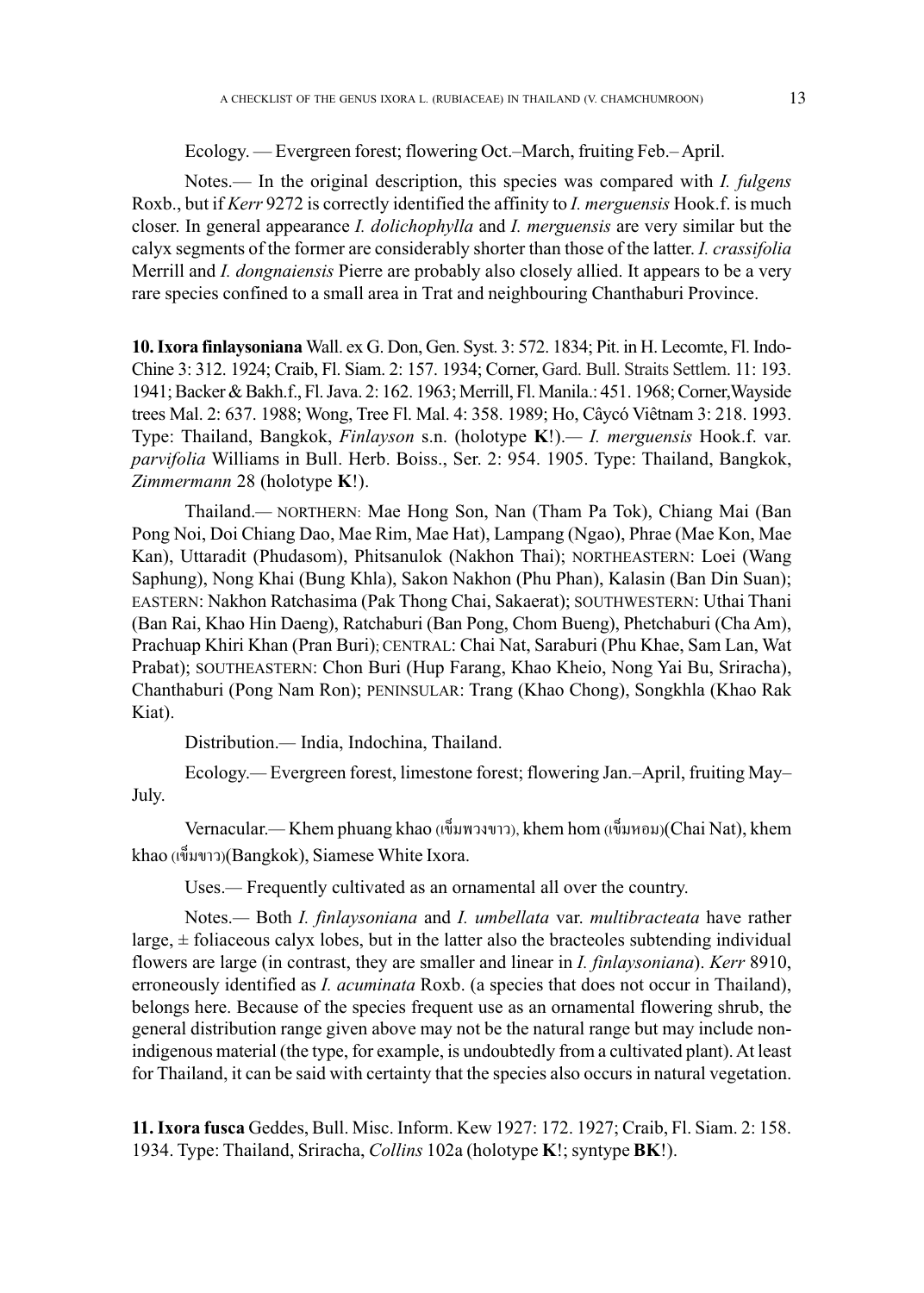Ecology. — Evergreen forest; flowering Oct.–March, fruiting Feb.– April.

Notes.— In the original description, this species was compared with *I. fulgens* Roxb., but if *Kerr* 9272 is correctly identified the affinity to *I. merguensis* Hook.f. is much closer. In general appearance *I. dolichophylla* and *I. merguensis* are very similar but the calyx segments of the former are considerably shorter than those of the latter. *I. crassifolia* Merrill and *I. dongnaiensis* Pierre are probably also closely allied. It appears to be a very rare species confined to a small area in Trat and neighbouring Chanthaburi Province.

10. Ixora finlaysoniana Wall. ex G. Don, Gen. Syst. 3: 572. 1834; Pit. in H. Lecomte, Fl. Indo-Chine 3: 312. 1924; Craib, Fl. Siam. 2: 157. 1934; Corner, Gard. Bull. Straits Settlem. 11: 193. 1941; Backer & Bakh.f., Fl. Java. 2: 162. 1963; Merrill, Fl. Manila.: 451. 1968; Corner, Wayside trees Mal. 2: 637. 1988; Wong, Tree Fl. Mal. 4: 358. 1989; Ho, Câycó Viêtnam 3: 218. 1993. Type: Thailand, Bangkok, *Finlayson* s.n. (holotype **K**!).*— I. merguensis* Hook.f. var. *parvifolia* Williams in Bull. Herb. Boiss., Ser. 2: 954. 1905. Type: Thailand, Bangkok, *Zimmermann* 28 (holotype **K**!). *Zimmermann* 28 (holotype **K**!). Chine 3: 312. 1924; Craib, Fl. Siam. 2: 157. 1934; Corner, Gard. Bull. Straits Settlem. 11: 193.<br>1941; Backer & Bakh.f., Fl. Java. 2: 162. 1963; Merrill, Fl. Manila.: 451. 1968; Corner, Wayside<br>trees Mal. 2: 637. 1988; Won

Thailand.*—* NORTHERN: Mae Hong Son, Nan (Tham Pa Tok), Chiang Mai (Ban Pong Noi, Doi Chiang Dao, Mae Rim, Mae Hat), Lampang (Ngao), Phrae (Mae Kon, Mae Kan), Uttaradit (Phudasom), Phitsanulok (Nakhon Thai); NORTHEASTERN: Loei (Wang Saphung), Nong Khai (Bung Khla), Sakon Nakhon (Phu Phan), Kalasin (Ban Din Suan); EASTERN: Nakhon Ratchasima (Pak Thong Chai, Sakaerat); SOUTHWESTERN: Uthai Thani (Ban Rai, Khao Hin Daeng), Ratchaburi (Ban Pong, Chom Bueng), Phetchaburi (Cha Am ), Prachuap Khiri Khan (Pran Buri); CENTRAL: Chai Nat, Saraburi (Phu Khae, Sam Lan, Wat Prabat); SOUTHEASTERN: Chon Buri (Hup Farang, Khao Kheio, Nong Yai Bu, Sriracha), Chanthaburi (Pong Nam Ron); PENINSULAR: Trang (Khao Chong), Songkhla (Khao Rak Kiat). EASTERN: Nakhon Ratchasima (Pak Thong Chai, Sakaerat); SOUTHWESTERN: Uthai Thani<br>(Ban Rai, Khao Hin Daeng), Ratchaburi (Ban Pong, Chom Bueng), Phetchaburi (Cha Am),<br>Prachuap Khiri Khan (Pran Buri); CENTRAL: Chai Nat, Sarab

Distribution.*—* India, Indochina, Thailand. India, Indochina, Thailand.

Ecology.*—* Evergreen forest, limestone forest; flowering Jan.–April, fruiting May– July.

Vernacular.— Khem phuang khao (เข็มพวงขาว), khem hom (เข็มหอม)(Chai Nat), khem khao (เข็มขาว)(Bangkok), Siamese White Ixora.

Uses.*—* Frequently cultivated as an ornamental all over the country.

Notes.*—* Both *I. finlaysoniana* and *I. umbellata* var. *multibracteata* have rather large,  $\pm$  foliaceous calyx lobes, but in the latter also the bracteoles subtending individual flowers are large (in contrast, they are smaller and linear in *I. finlaysoniana*). *Kerr* 8910, erroneously identified as *I. acuminata* Roxb. (a species that does not occur in Thailand), belongs here. Because of the species frequent use as an ornamental flowering shrub, the general distribution range given above may not be the natural range but may include nonindigenous material (the type, for example, is undoubtedly from a cultivated plant). At least for Thailand, it can be said with certainty that the species also occurs in natural vegetation.

**11. Ixora fusca** Geddes, Bull. Misc. Inform. Kew 1927: 172. 1927; Craib, Fl. Siam. 2: 158. 1934. Type: Thailand, Sriracha, *Collins* 102a (holotype **K**!; syntype **BK**!).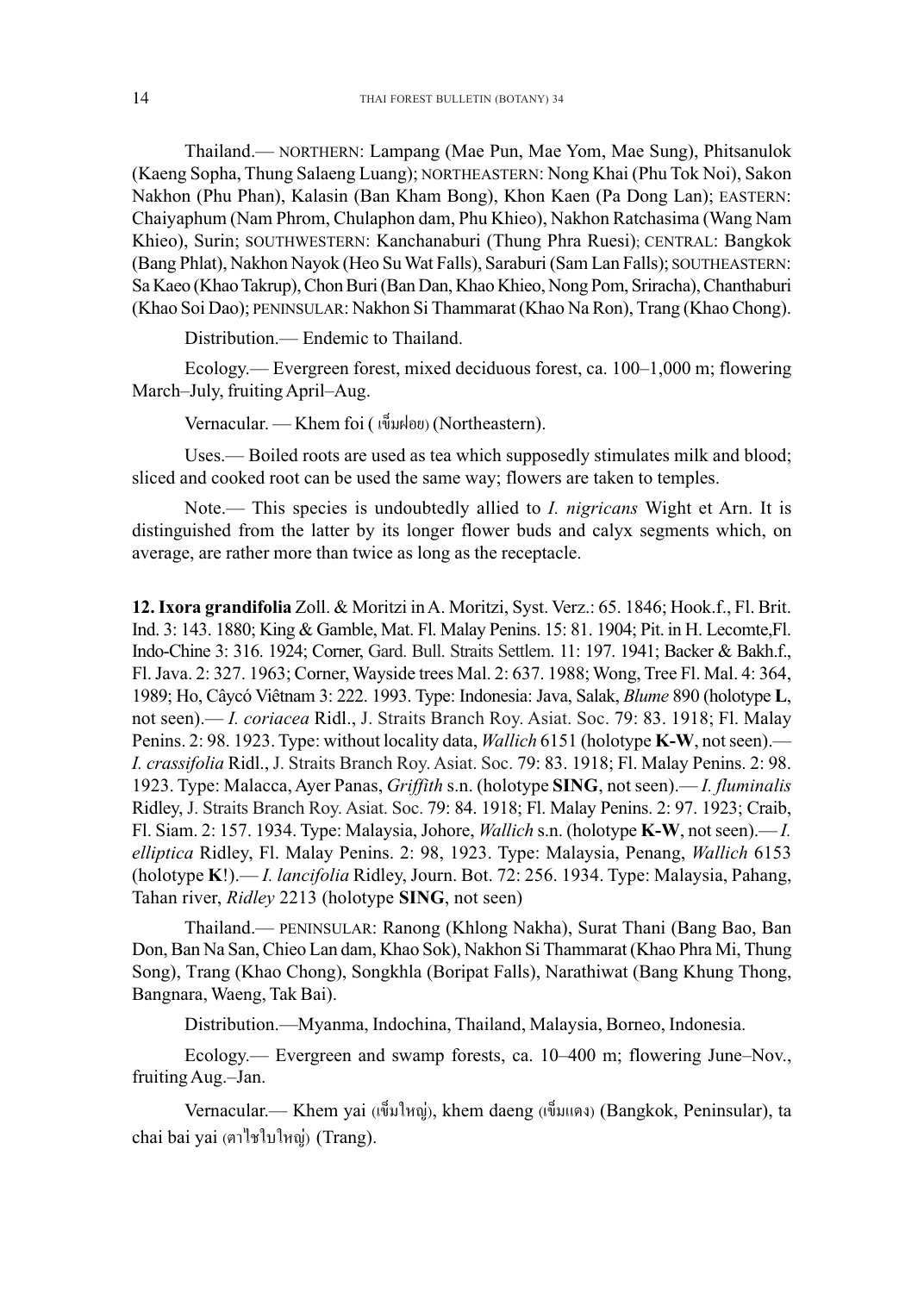Thailand.— NORTHERN: Lampang (Mae Pun, Mae Yom, Mae Sung), Phitsanulok (Kaeng Sopha, Thung Salaeng Luang); NORTHEASTERN: Nong Khai (Phu Tok Noi), Sakon Nakhon (Phu Phan), Kalasin (Ban Kham Bong), Khon Kaen (Pa Dong Lan); EASTERN: Chaiyaphum (Nam Phrom, Chulaphon dam, Phu Khieo), Nakhon Ratchasima (Wang Nam Khieo), Surin; SOUTHWESTERN: Kanchanaburi (Thung Phra Ruesi); CENTRAL: Bangkok (Bang Phlat), Nakhon Nayok (Heo Su Wat Falls), Saraburi (Sam Lan Falls); SOUTHEASTERN: Sa Kaeo (Khao Takrup), Chon Buri (Ban Dan, Khao Khieo, Nong Pom, Sriracha), Chanthaburi (Khao Soi Dao); PENINSULAR: Nakhon Si Thammarat (Khao Na Ron), Trang (Khao Chong).

Distribution.— Endemic to Thailand. Distribution.— Endemic to Thailand.

Ecology.— Evergreen forest, mixed deciduous forest, ca. 100–1,000 m; flowering March–July, fruiting April–Aug.

Vernacular. — Khem foi ( เข็มฝอย) (Northeastern).

Uses.— Boiled roots are used as tea which supposedly stimulates milk and blood; sliced and cooked root can be used the same way; flowers are taken to temples.

Note.— This species is undoubtedly allied to *I. nigricans* Wight et Arn. It is distinguished from the latter by its longer flower buds and calyx segments which, on average, are rather more than twice as long as the receptacle.

**12. Ixora grandifolia** Zoll. & Moritzi in A. Moritzi, Syst. Verz.: 65. 1846; Hook.f., Fl. Brit. Ind. 3: 143. 1880; King & Gamble, Mat. Fl. Malay Penins. 15: 81. 1904; Pit. in H. Lecomte, Fl. Indo-Chine 3: 316. 1924; Corner, Gard. Bull. Straits Settlem. 11: 197. 1941; Backer & Bakh.f., Fl. Java. 2: 327. 1963; Corner, Wayside trees Mal. 2: 637. 1988; Wong, Tree Fl. Mal. 4: 364, 1989; Ho, C'ycÛ Viätnam 3: 222. 1993.Type: Indonesia: Java, Salak, *Blume* 890 (holotype **L**, not seen).— *I. coriacea* Ridl., J. Straits Branch Roy. Asiat. Soc. 79: 83. 1918; Fl. Malay Penins. 2: 98. 1923. Type: without locality data, *Wallich* 6151 (holotype **K-W**, not seen).— *I. crassifolia* Ridl., J. Straits Branch Roy. Asiat. Soc. 79: 83. 1918; Fl. Malay Penins. 2: 98. 1923. Type: Malacca, Ayer Panas, *Griffith* s.n. (holotype **SING**, not seen).— *I. fluminalis* Ridley, J. Straits Branch Roy. Asiat. Soc. 79: 84. 1918; Fl. Malay Penins. 2: 97. 1923; Craib, Fl. Siam. 2: 157. 1934. Type: Malaysia, Johore, *Wallich* s.n. (holotype **K-W**, not seen).— *I. elliptica* Ridley, Fl. Malay Penins. 2: 98, 1923. Type: Malaysia, Penang, *Wallich* 6153 (holotype **K**!).— *I. lancifolia* Ridley, Journ. Bot. 72: 256. 1934. Type: Malaysia, Pahang, Tahan river, *Ridley* 2213 (holotype **SING**, not seen) **12. Ixora grandifolia** Zoll. & Moritzi in A. Moritzi, Syst. Verz.: 65. 1846; Hook.f., Fl. Brit. Ind. 3: 143. 1880; King & Gamble, Mat. Fl. Malay Penins. 15: 81. 1904; Pit. in H. Lecomte,Fl. Indo-Chine 3: 316. 1924; Corner *crassifolia* Ridl., J. Straits Branch Roy. Asiat. Soc. 79: 83. 1918; Fl. Malay Penins.<br> *P. B. Type: Malacca, Ayer Panas, Griffith s.n. (holotype SING, not seen).— <i>I. flum*<br> *idley, J. Straits Branch Roy. Asiat. Soc. 79:* 

Thailand.— PENINSULAR: Ranong (Khlong Nakha), Surat Thani (Bang Bao, Ban Don, Ban Na San, Chieo Lan dam, Khao Sok), Nakhon Si Thammarat (Khao Phra Mi, Thung Song), Trang (Khao Chong), Songkhla (Boripat Falls), Narathiwat (Bang Khung Thong, Bangnara, Waeng, Tak Bai).

Distribution.—Myanma, Indochina, Thailand, Malaysia, Borneo, Indonesia.

Ecology.— Evergreen and swamp forests, ca. 10–400 m; flowering June–Nov., fruiting Aug.–Jan.

Vernacular.— Khem yai (เข็มใหญ่), khem daeng (เข็มแดง) (Bangkok, Peninsular), ta chai bai yai (ตาไชใบใหญ่) (Trang).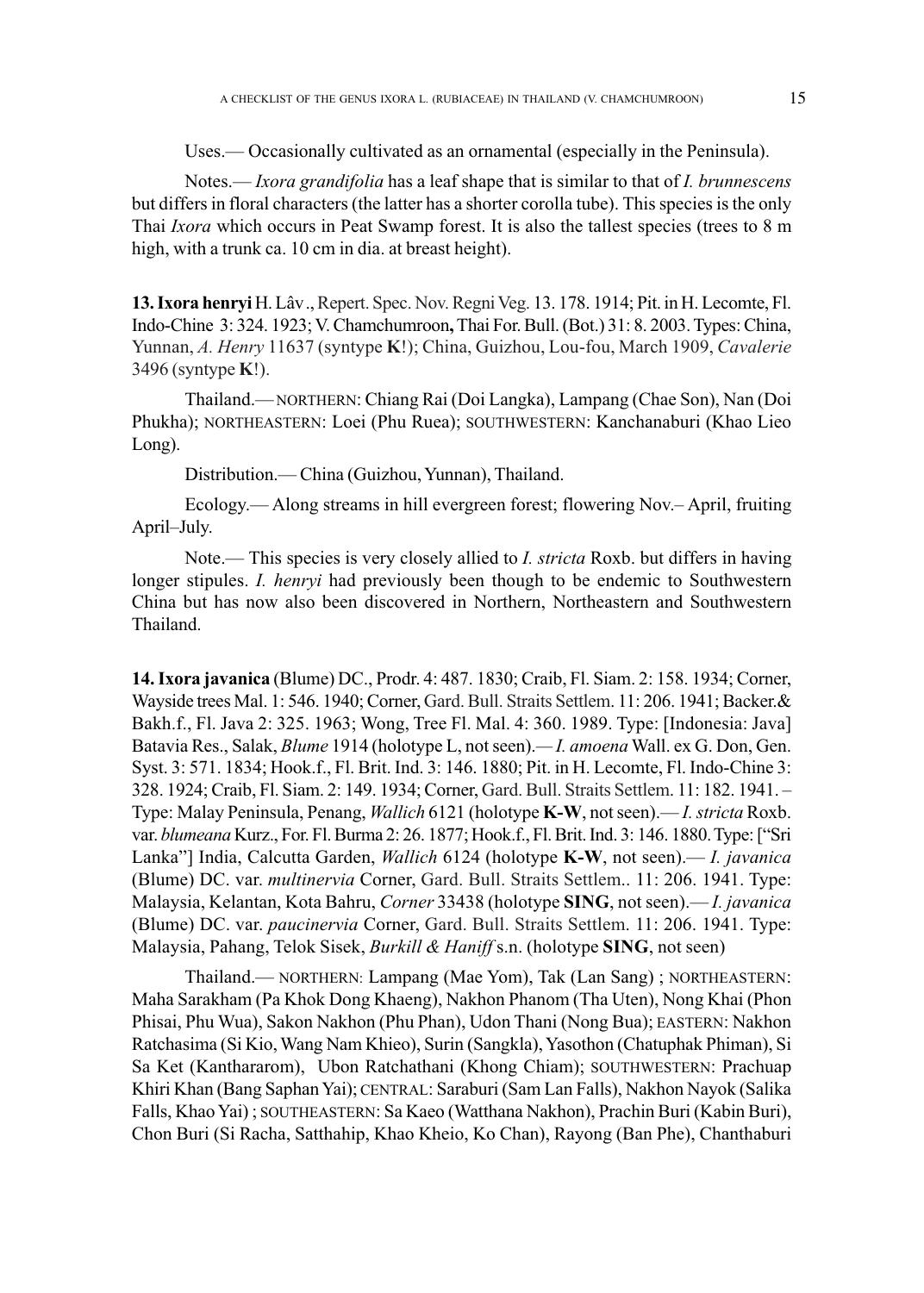Uses.— Occasionally cultivated as an ornamental (especially in the Peninsula).

Notes.— *Ixora grandifolia* has a leaf shape that is similar to that of *I. brunnescens* but differs in floral characters (the latter has a shorter corolla tube). This species is the only Thai *Ixora* which occurs in Peat Swamp forest. It is also the tallest species (trees to 8 m high, with a trunk ca. 10 cm in dia. at breast height).

**13. Ixora henryi** H. Lâv., Repert. Spec. Nov. Regni Veg. 13. 178. 1914; Pit. in H. Lecomte, Fl. Indo-Chine 3: 324. 1923; V. Chamchumroon**,** Thai For. Bull. (Bot.) 31: 8. 2003. Types: China, Yunnan, *A. Henry* 11637 (syntype **K**!); China, Guizhou, Lou-fou, March 1909, *Cavalerie* 3496 (syntype **K**!).

Thailand.— NORTHERN: Chiang Rai (Doi Langka), Lampang (Chae Son), Nan (Doi Phukha); NORTHEASTERN: Loei (Phu Ruea); SOUTHWESTERN: Kanchanaburi (Khao Lieo Long).

Distribution.— China (Guizhou, Yunnan), Thailand.

Ecology.— Along streams in hill evergreen forest; flowering Nov.– April, fruiting April–July.

Note.— This species is very closely allied to *I. stricta* Roxb. but differs in having longer stipules. *I. henryi* had previously been though to be endemic to Southwestern China but has now also been discovered in Northern, Northeastern and Southwestern Thailand.

**14. Ixora javanica** (Blume) DC., Prodr. 4: 487. 1830; Craib, Fl. Siam. 2: 158. 1934; Corner, Wayside trees Mal. 1: 546. 1940; Corner, Gard. Bull. Straits Settlem. 11: 206. 1941; Backer.& Bakh.f., Fl. Java 2: 325. 1963; Wong, Tree Fl. Mal. 4: 360. 1989. Type: [Indonesia: Java] Batavia Res., Salak, *Blume* 1914 (holotype L, not seen).*— I. amoena* Wall. ex G. Don, Gen. Syst. 3: 571. 1834; Hook.f., Fl. Brit. Ind. 3: 146. 1880; Pit. in H. Lecomte, Fl. Indo-Chine 3: 328. 1924; Craib, Fl. Siam. 2: 149. 1934; Corner, Gard. Bull. Straits Settlem. 11: 182. 1941. – Type: Malay Peninsula, Penang, *Wallich* 6121 (holotype **K-W**, not seen).— *I. stricta* Roxb. var. *blumeana* Kurz., For. Fl. Burma 2: 26. 1877; Hook.f., Fl. Brit. Ind. 3: 146. 1880. Type: ["Sri Lanka"] India, Calcutta Garden, *Wallich* 6124 (holotype **K-W**, not seen).— *I. javanica* (Blume) DC. var. *multinervia* Corner, Gard. Bull. Straits Settlem.. 11: 206. 1941. Type: Malaysia, Kelantan, Kota Bahru, *Corner* 33438 (holotype **SING**, not seen).— *I. javanica* (Blume) DC. var. *paucinervia* Corner, Gard. Bull. Straits Settlem. 11: 206. 1941. Type: Malaysia, Pahang, Telok Sisek, *Burkill & Haniff* s.n. (holotype **SING**, not seen)

Thailand.— NORTHERN: Lampang (Mae Yom), Tak (Lan Sang) ; NORTHEASTERN: Maha Sarakham (Pa Khok Dong Khaeng), Nakhon Phanom (Tha Uten), Nong Khai (Phon Phisai, Phu Wua), Sakon Nakhon (Phu Phan), Udon Thani (Nong Bua); EASTERN: Nakhon Ratchasima (Si Kio, Wang Nam Khieo), Surin (Sangkla), Yasothon (Chatuphak Phiman), Si Sa Ket (Kanthararom), Ubon Ratchathani (Khong Chiam); SOUTHWESTERN: Prachuap Khiri Khan (Bang Saphan Yai); CENTRAL: Saraburi (Sam Lan Falls), Nakhon Nayok (Salika Falls, Khao Yai) ; SOUTHEASTERN: Sa Kaeo (Watthana Nakhon), Prachin Buri (Kabin Buri), Chon Buri (Si Racha, Satthahip, Khao Kheio, Ko Chan), Rayong (Ban Phe), Chanthaburi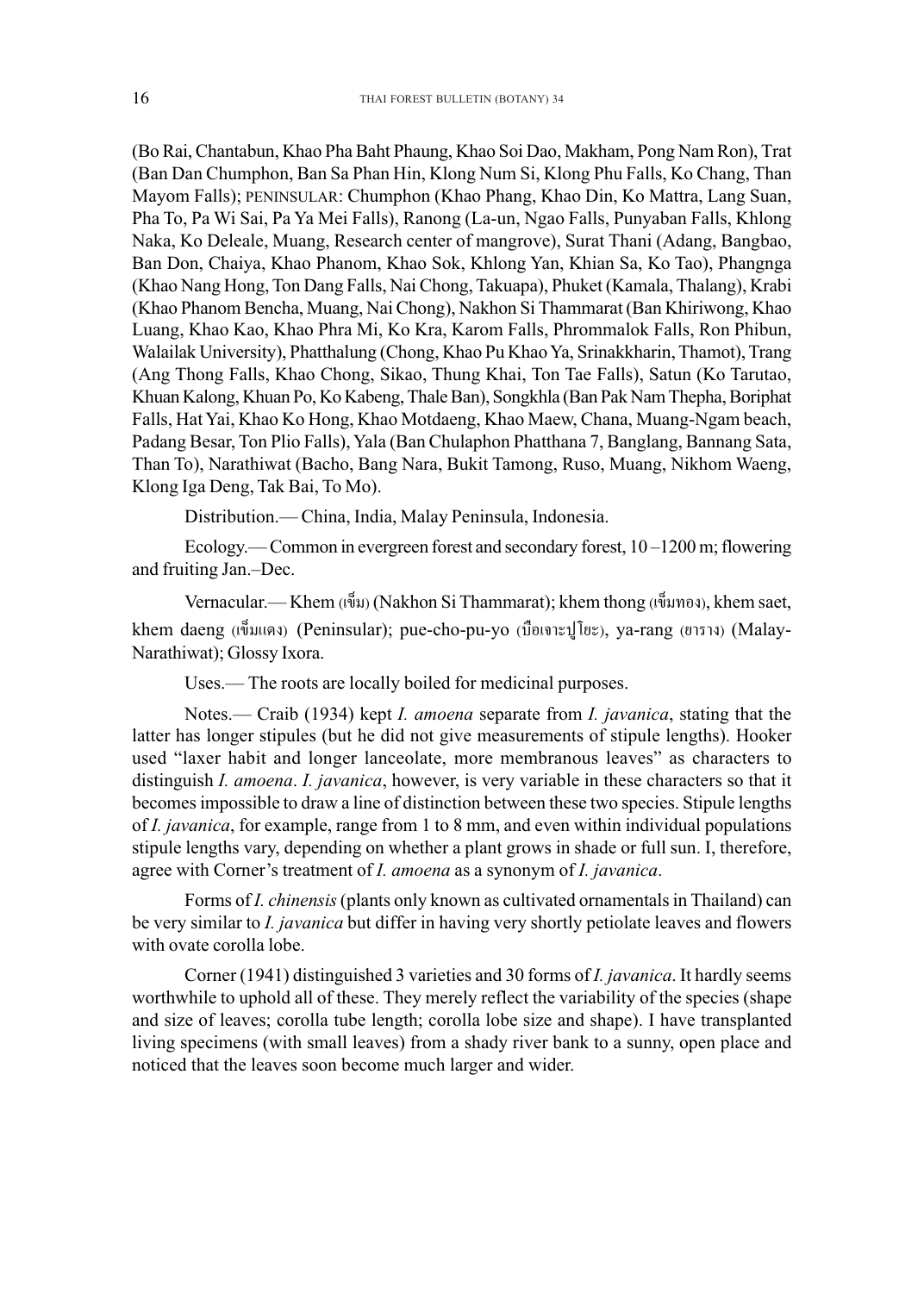(Bo Rai, Chantabun, Khao Pha Baht Phaung, Khao Soi Dao, Makham, Pong Nam Ron), Trat (Ban Dan Chumphon, Ban Sa Phan Hin, Klong Num Si, Klong Phu Falls, Ko Chang, Than Mayom Falls); PENINSULAR: Chumphon (Khao Phang, Khao Din, Ko Mattra, Lang Suan, Pha To, Pa Wi Sai, Pa Ya Mei Falls), Ranong (La-un, Ngao Falls, Punyaban Falls, Khlong Naka, Ko Deleale, Muang, Research center of mangrove), Surat Thani (Adang, Bangbao, Ban Don, Chaiya, Khao Phanom, Khao Sok, Khlong Yan, Khian Sa, Ko Tao), Phangnga (Khao Nang Hong, Ton Dang Falls, Nai Chong, Takuapa), Phuket (Kamala, Thalang), Krabi (Khao Phanom Bencha, Muang, Nai Chong), Nakhon Si Thammarat (Ban Khiriwong, Khao Luang, Khao Kao, Khao Phra Mi, Ko Kra, Karom Falls, Phrommalok Falls, Ron Phibun, Walailak University), Phatthalung (Chong, Khao Pu Khao Ya, Srinakkharin, Thamot), Trang (Ang Thong Falls, Khao Chong, Sikao, Thung Khai, Ton Tae Falls), Satun (Ko Tarutao, Khuan Kalong, Khuan Po, Ko Kabeng, Thale Ban), Songkhla (Ban Pak Nam Thepha, Boriphat Falls, Hat Yai, Khao Ko Hong, Khao Motdaeng, Khao Maew, Chana, Muang-Ngam beach, Padang Besar, Ton Plio Falls), Yala (Ban Chulaphon Phatthana 7, Banglang, Bannang Sata, Than To), Narathiwat (Bacho, Bang Nara, Bukit Tamong, Ruso, Muang, Nikhom Waeng, Klong Iga Deng, Tak Bai, To Mo).

Distribution.— China, India, Malay Peninsula, Indonesia.

Ecology.— Common in evergreen forest and secondary forest, 10 –1200 m; flowering and fruiting Jan.–Dec.

Vernacular.— Khem (เข็ม) (Nakhon Si Thammarat); khem thong (เข็มทอง), khem saet, khem daeng (เข็มแดง) (Peninsular); pue-cho-pu-yo (บื้อเจาะปูโยะ), ya-rang (ยาราง) (Malay-Narathiwat); Glossy Ixora.

Uses.— The roots are locally boiled for medicinal purposes.

Notes.— Craib (1934) kept *I. amoena* separate from *I. javanica*, stating that the latter has longer stipules (but he did not give measurements of stipule lengths). Hooker used "laxer habit and longer lanceolate, more membranous leaves" as characters to distinguish *I. amoena*. *I. javanica*, however, is very variable in these characters so that it becomes impossible to draw a line of distinction between these two species. Stipule lengths of *I. javanica*, for example, range from 1 to 8 mm, and even within individual populations stipule lengths vary, depending on whether a plant grows in shade or full sun. I, therefore, agree with Corner's treatment of *I. amoena* as a synonym of *I. javanica*.

Forms of *I. chinensis* (plants only known as cultivated ornamentals in Thailand) can be very similar to *I. javanica* but differ in having very shortly petiolate leaves and flowers with ovate corolla lobe.

Corner (1941) distinguished 3 varieties and 30 forms of *I. javanica*. It hardly seems worthwhile to uphold all of these. They merely reflect the variability of the species (shape and size of leaves; corolla tube length; corolla lobe size and shape). I have transplanted living specimens (with small leaves) from a shady river bank to a sunny, open place and noticed that the leaves soon become much larger and wider.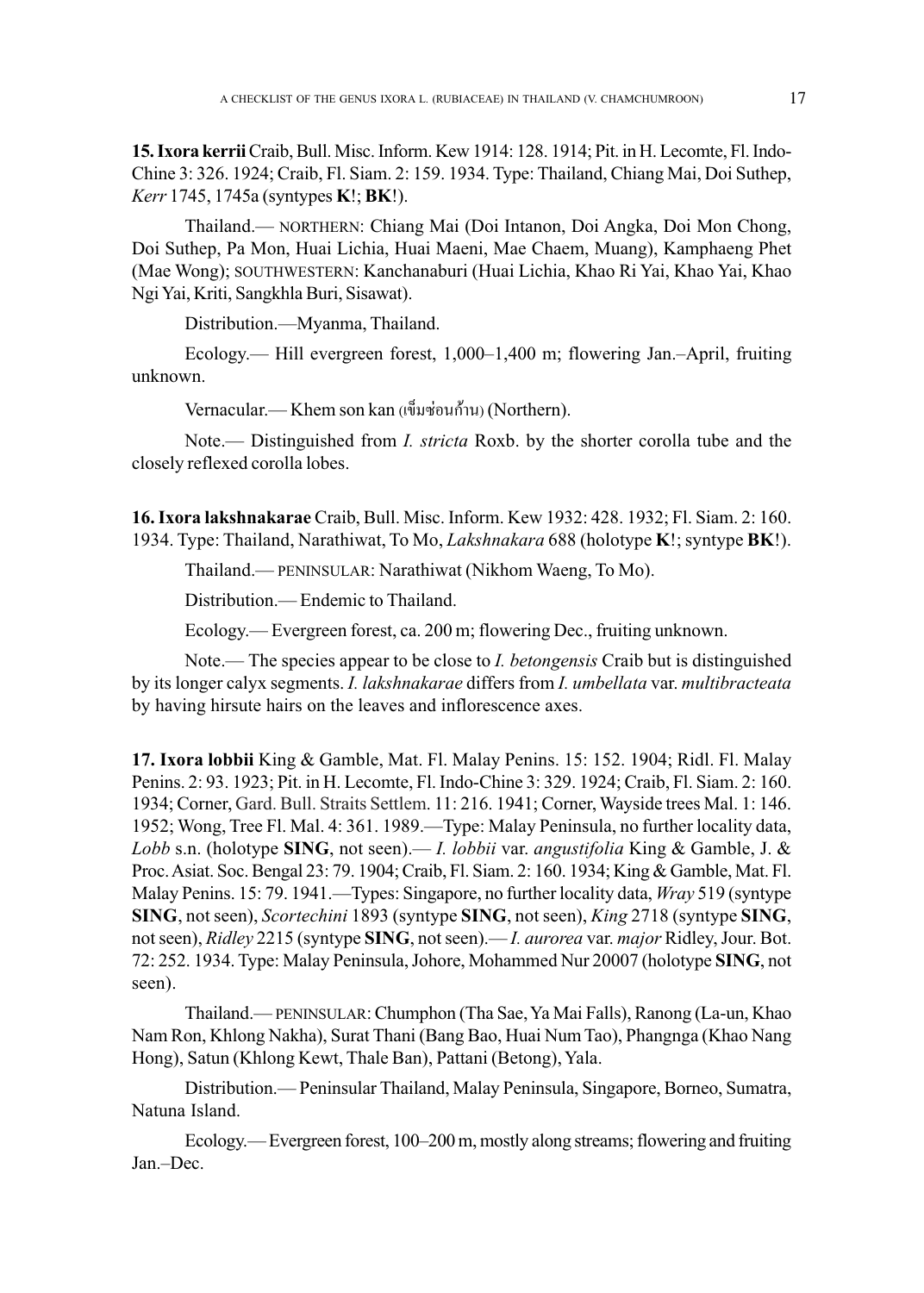**15. Ixora kerrii**Craib, Bull. Misc. Inform. Kew 1914: 128. 1914; Pit. in H. Lecomte, Fl. Indo-Chine 3: 326. 1924; Craib, Fl. Siam. 2: 159. 1934. Type: Thailand, Chiang Mai, Doi Suthep, *Kerr* 1745, 1745a (syntypes **K**!; **BK**!).

Thailand.— NORTHERN: Chiang Mai (Doi Intanon, Doi Angka, Doi Mon Chong, Doi Suthep, Pa Mon, Huai Lichia, Huai Maeni, Mae Chaem, Muang), Kamphaeng Phet (Mae Wong); SOUTHWESTERN: Kanchanaburi (Huai Lichia, Khao Ri Yai, Khao Yai, Khao Ngi Yai, Kriti, Sangkhla Buri, Sisawat).

Distribution.—Myanma, Thailand.

Ecology.— Hill evergreen forest, 1,000–1,400 m; flowering Jan.–April, fruiting unknown.

Vernacular.— Khem son kan (เข็มซ่อนก้าน) (Northern).

Note.— Distinguished from *I. stricta* Roxb. by the shorter corolla tube and the closely reflexed corolla lobes.

**16. Ixora lakshnakarae** Craib, Bull. Misc. Inform. Kew 1932: 428. 1932; Fl. Siam. 2: 160. 1934. Type: Thailand, Narathiwat, To Mo, *Lakshnakara* 688 (holotype **K**!; syntype **BK**!).

Thailand.— PENINSULAR: Narathiwat (Nikhom Waeng, To Mo).

Distribution.— Endemic to Thailand.

Ecology.— Evergreen forest, ca. 200 m; flowering Dec., fruiting unknown.

Note.— The species appear to be close to *I. betongensis* Craib but is distinguished by its longer calyx segments. *I. lakshnakarae* differs from *I. umbellata* var. *multibracteata* by having hirsute hairs on the leaves and inflorescence axes.

**17. Ixora lobbii** King & Gamble, Mat. Fl. Malay Penins. 15: 152. 1904; Ridl. Fl. Malay Penins. 2: 93. 1923; Pit. in H. Lecomte, Fl. Indo-Chine 3: 329. 1924; Craib, Fl. Siam. 2: 160. 1934; Corner, Gard. Bull. Straits Settlem. 11: 216. 1941; Corner, Wayside trees Mal. 1: 146. 1952; Wong, Tree Fl. Mal. 4: 361. 1989.—Type: Malay Peninsula, no further locality data, *Lobb* s.n. (holotype **SING**, not seen).— *I. lobbii* var. *angustifolia* King & Gamble, J. & Proc. Asiat. Soc. Bengal 23: 79. 1904; Craib, Fl. Siam. 2: 160. 1934; King & Gamble, Mat. Fl. Malay Penins. 15: 79. 1941.—Types: Singapore, no further locality data, *Wray* 519 (syntype **SING**, not seen), *Scortechini* 1893 (syntype **SING**, not seen), *King* 2718 (syntype **SING**, not seen), *Ridley* 2215 (syntype **SING**, not seen).— *I. aurorea* var. *major* Ridley, Jour. Bot. 72: 252. 1934. Type: Malay Peninsula, Johore, Mohammed Nur 20007 (holotype **SING**, not seen).

Thailand.—PENINSULAR: Chumphon (Tha Sae, Ya Mai Falls), Ranong (La-un, Khao Nam Ron, Khlong Nakha), Surat Thani (Bang Bao, Huai Num Tao), Phangnga (Khao Nang Hong), Satun (Khlong Kewt, Thale Ban), Pattani (Betong), Yala.

Distribution.— Peninsular Thailand, Malay Peninsula, Singapore, Borneo, Sumatra, Natuna Island.

Ecology.— Evergreen forest, 100–200 m, mostly along streams; flowering and fruiting Jan.–Dec.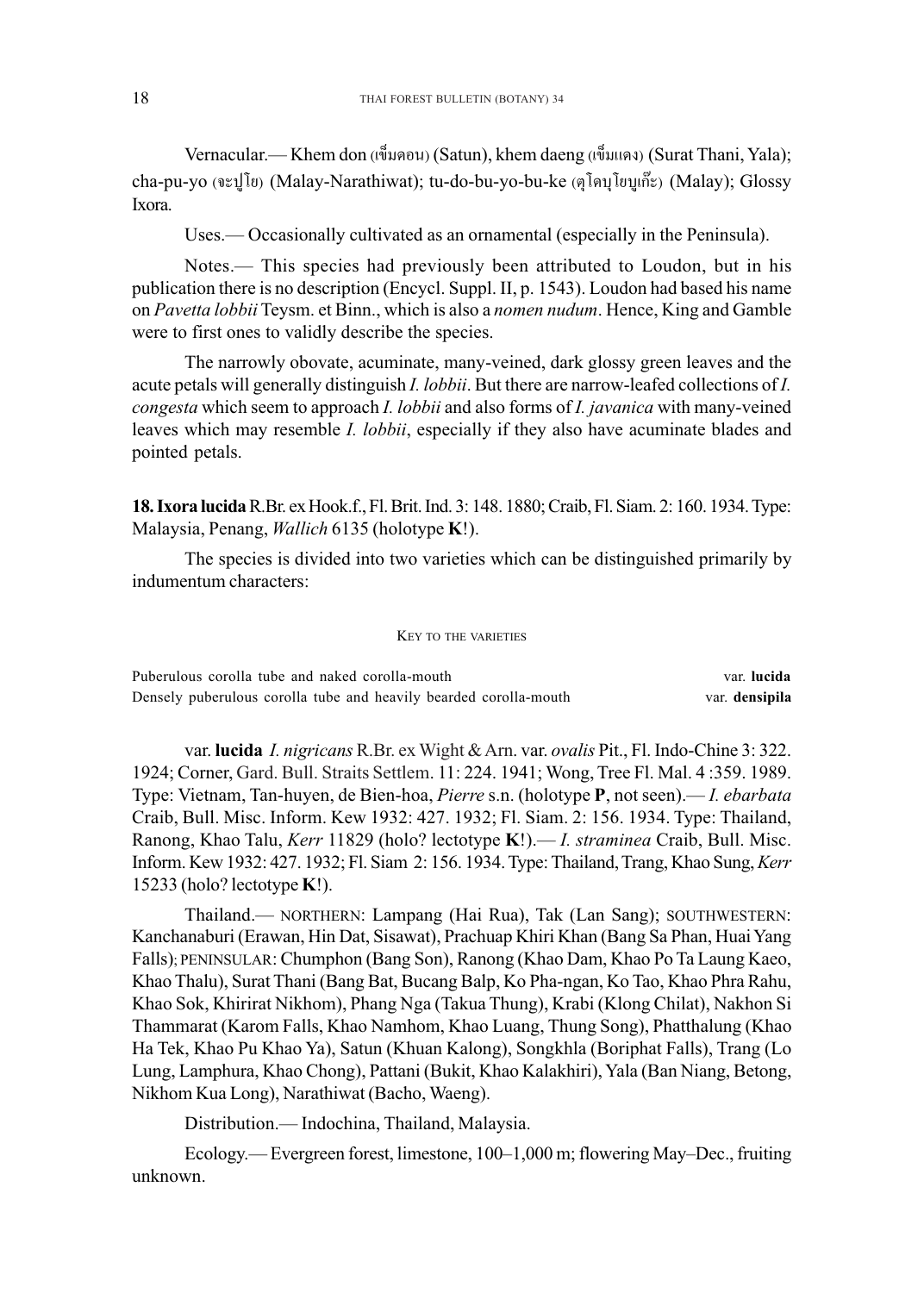Vernacular.— Khem don (เข็มดอน) (Satun), khem daeng (เข็มแดง) (Surat Thani, Yala); cha-pu-yo (จะปูโย) (Malay-Narathiwat); tu-do-bu-yo-bu-ke (ตุโดบุโยบูเก๊ะ) (Malay); Glossy Ixora.

Uses.— Occasionally cultivated as an ornamental (especially in the Peninsula).

Notes.— This species had previously been attributed to Loudon, but in his publication there is no description (Encycl. Suppl. II, p. 1543). Loudon had based his name on *Pavetta lobbii* Teysm. et Binn., which is also a *nomen nudum*. Hence, King and Gamble were to first ones to validly describe the species.

The narrowly obovate, acuminate, many-veined, dark glossy green leaves and the acute petals will generally distinguish *I. lobbii*. But there are narrow-leafed collections of *I. congesta* which seem to approach *I. lobbii* and also forms of *I. javanica* with many-veined leaves which may resemble *I. lobbii*, especially if they also have acuminate blades and pointed petals.

**18. Ixora lucida**R.Br. ex Hook.f., Fl. Brit. Ind. 3: 148. 1880; Craib, Fl. Siam. 2: 160. 1934. Type: Malaysia, Penang, *Wallich* 6135 (holotype **K**!).

The species is divided into two varieties which can be distinguished primarily by indumentum characters:

## KEY TO THE VARIETIES

| Puberulous corolla tube and naked corolla-mouth                   | var. <b>lucida</b> |
|-------------------------------------------------------------------|--------------------|
| Densely puberulous corolla tube and heavily bearded corolla-mouth | var. densipila     |

var. **lucida** *I. nigricans* R.Br. ex Wight & Arn. var. *ovalis* Pit., Fl. Indo-Chine 3: 322. 1924; Corner, Gard. Bull. Straits Settlem. 11: 224. 1941; Wong, Tree Fl. Mal. 4 :359. 1989. Type: Vietnam, Tan-huyen, de Bien-hoa, *Pierre* s.n. (holotype **P**, not seen).— *I. ebarbata* Craib, Bull. Misc. Inform. Kew 1932: 427. 1932; Fl. Siam. 2: 156. 1934. Type: Thailand, Ranong, Khao Talu, *Kerr* 11829 (holo? lectotype **K**!).— *I. straminea* Craib, Bull. Misc. Inform. Kew 1932: 427. 1932; Fl. Siam 2: 156. 1934. Type: Thailand, Trang, Khao Sung, *Kerr* 15233 (holo? lectotype **K**!).

Thailand.— NORTHERN: Lampang (Hai Rua), Tak (Lan Sang); SOUTHWESTERN: Kanchanaburi (Erawan, Hin Dat, Sisawat), Prachuap Khiri Khan (Bang Sa Phan, Huai Yang Falls); PENINSULAR: Chumphon (Bang Son), Ranong (Khao Dam, Khao Po Ta Laung Kaeo, Khao Thalu), Surat Thani (Bang Bat, Bucang Balp, Ko Pha-ngan, Ko Tao, Khao Phra Rahu, Khao Sok, Khirirat Nikhom), Phang Nga (Takua Thung), Krabi (Klong Chilat), Nakhon Si Thammarat (Karom Falls, Khao Namhom, Khao Luang, Thung Song), Phatthalung (Khao Ha Tek, Khao Pu Khao Ya), Satun (Khuan Kalong), Songkhla (Boriphat Falls), Trang (Lo Lung, Lamphura, Khao Chong), Pattani (Bukit, Khao Kalakhiri), Yala (Ban Niang, Betong, Nikhom Kua Long), Narathiwat (Bacho, Waeng).

Distribution.— Indochina, Thailand, Malaysia.

Ecology.— Evergreen forest, limestone, 100–1,000 m; flowering May–Dec., fruiting unknown.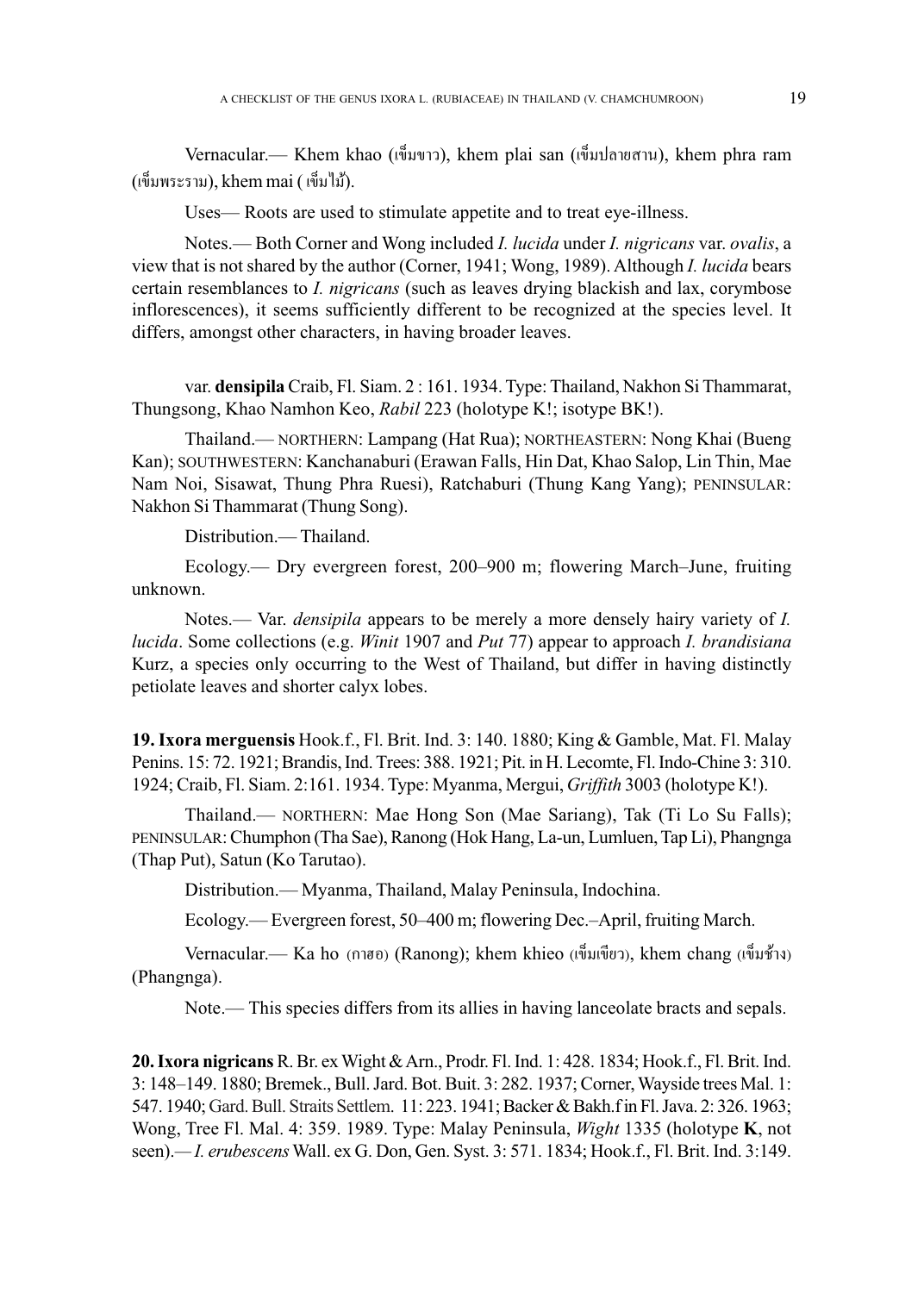Vernacular.— Khem khao (เข็มขาว), khem plai san (เข็มปลายสาน), khem phra ram  $(i\tilde{\psi}$ มพระราม), khem mai  $(i\tilde{\psi}^{\dagger})$ 

Uses— Roots are used to stimulate appetite and to treat eye-illness.

Notes.— Both Corner and Wong included *I. lucida* under *I. nigricans* var. *ovalis*, a view that is not shared by the author (Corner, 1941; Wong, 1989). Although *I. lucida* bears certain resemblances to *I. nigricans* (such as leaves drying blackish and lax, corymbose inflorescences), it seems sufficiently different to be recognized at the species level. It differs, amongst other characters, in having broader leaves.

var. **densipila** Craib, Fl. Siam. 2 : 161. 1934. Type: Thailand, Nakhon Si Thammarat, Thungsong, Khao Namhon Keo, *Rabil* 223 (holotype K!; isotype BK!).

Thailand.— NORTHERN: Lampang (Hat Rua); NORTHEASTERN: Nong Khai (Bueng Kan); SOUTHWESTERN: Kanchanaburi (Erawan Falls, Hin Dat, Khao Salop, Lin Thin, Mae Nam Noi, Sisawat, Thung Phra Ruesi), Ratchaburi (Thung Kang Yang); PENINSULAR: Nakhon Si Thammarat (Thung Song).

Distribution.— Thailand.

Ecology.— Dry evergreen forest, 200–900 m; flowering March–June, fruiting unknown.

Notes.— Var. *densipila* appears to be merely a more densely hairy variety of *I. lucida*. Some collections (e.g. *Winit* 1907 and *Put* 77) appear to approach *I. brandisiana* Kurz, a species only occurring to the West of Thailand, but differ in having distinctly petiolate leaves and shorter calyx lobes.

**19. Ixora merguensis** Hook.f., Fl. Brit. Ind. 3: 140. 1880; King & Gamble, Mat. Fl. Malay Penins. 15: 72. 1921; Brandis, Ind. Trees: 388. 1921; Pit. in H. Lecomte, Fl. Indo-Chine 3: 310. 1924; Craib, Fl. Siam. 2:161. 1934. Type: Myanma, Mergui, *Griffith* 3003 (holotype K!).

Thailand.— NORTHERN: Mae Hong Son (Mae Sariang), Tak (Ti Lo Su Falls); PENINSULAR: Chumphon (Tha Sae), Ranong (Hok Hang, La-un, Lumluen, Tap Li), Phangnga (Thap Put), Satun (Ko Tarutao).

Distribution.— Myanma, Thailand, Malay Peninsula, Indochina.

Ecology.— Evergreen forest, 50–400 m; flowering Dec.–April, fruiting March.

Vernacular.— Ka ho (กาฮอ) (Ranong); khem khieo (เข็มเขียว), khem chang (เข็มช้าง) (Phangnga).

Note.— This species differs from its allies in having lanceolate bracts and sepals.

**20. Ixora nigricans**R. Br. ex Wight & Arn., Prodr. Fl. Ind. 1: 428. 1834; Hook.f., Fl. Brit. Ind. 3: 148–149. 1880; Bremek., Bull. Jard. Bot. Buit. 3: 282. 1937; Corner, Wayside trees Mal. 1: 547. 1940; Gard. Bull. Straits Settlem. 11: 223. 1941; Backer & Bakh.f in Fl. Java. 2: 326. 1963; Wong, Tree Fl. Mal. 4: 359. 1989. Type: Malay Peninsula, *Wight* 1335 (holotype **K**, not seen).*— I. erubescens* Wall. ex G. Don, Gen. Syst. 3: 571. 1834; Hook.f., Fl. Brit. Ind. 3:149.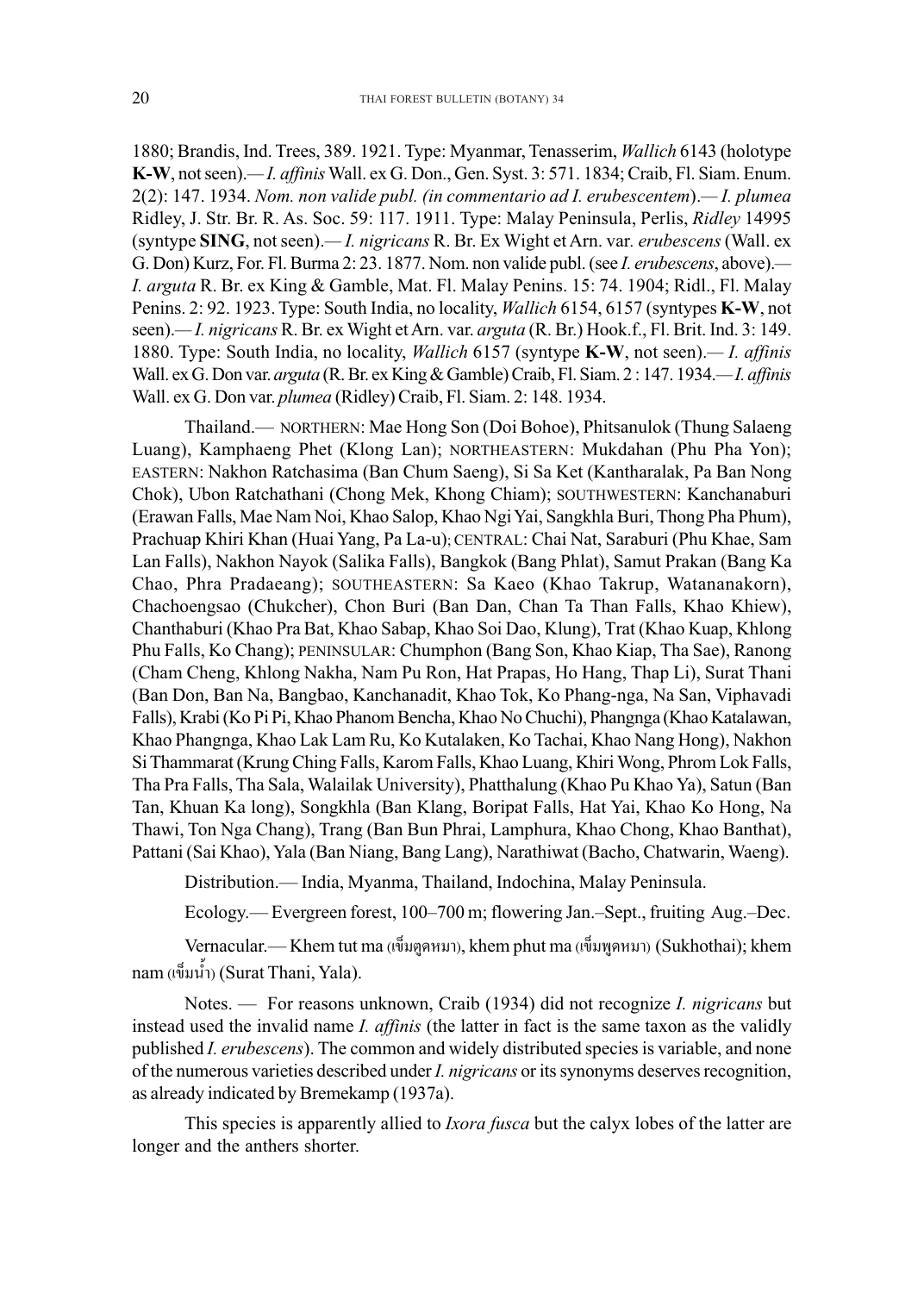1880; Brandis, Ind. Trees, 389. 1921. Type: Myanmar, Tenasserim, *Wallich* 6143 (holotype **K-W**, not seen).*— I. affinis* Wall. ex G. Don., Gen. Syst. 3: 571. 1834; Craib, Fl. Siam. Enum. 2(2): 147. 1934. *Nom. non valide publ. (in commentario ad I. erubescentem*).*— I. plumea* Ridley, J. Str. Br. R. As. Soc. 59: 117. 1911. Type: Malay Peninsula, Perlis, *Ridley* 14995 (syntype **SING**, not seen).*— I. nigricans* R. Br. Ex Wight et Arn. var*. erubescens* (Wall. ex G. Don) Kurz, For. Fl. Burma 2: 23. 1877. Nom. non valide publ. (see *I. erubescens*, above).*— I. arguta* R. Br. ex King & Gamble, Mat. Fl. Malay Penins. 15: 74. 1904; Ridl., Fl. Malay Penins. 2: 92. 1923. Type: South India, no locality, *Wallich* 6154, 6157 (syntypes **K-W**, not seen).*— I. nigricans* R. Br. ex Wight et Arn. var. *arguta* (R. Br.) Hook.f., Fl. Brit. Ind. 3: 149. 1880. Type: South India, no locality, *Wallich* 6157 (syntype **K-W**, not seen).*— I. affinis* Wall. ex G. Don var. *arguta* (R. Br. ex King & Gamble) Craib, Fl. Siam. 2 : 147. 1934.*— I. affinis* Wall. ex G. Don var. *plumea* (Ridley) Craib, Fl. Siam. 2: 148. 1934.

Thailand.— NORTHERN: Mae Hong Son (Doi Bohoe), Phitsanulok (Thung Salaeng Luang), Kamphaeng Phet (Klong Lan); NORTHEASTERN: Mukdahan (Phu Pha Yon); EASTERN: Nakhon Ratchasima (Ban Chum Saeng), Si Sa Ket (Kantharalak, Pa Ban Nong Chok), Ubon Ratchathani (Chong Mek, Khong Chiam); SOUTHWESTERN: Kanchanaburi (Erawan Falls, Mae Nam Noi, Khao Salop, Khao Ngi Yai, Sangkhla Buri, Thong Pha Phum), Prachuap Khiri Khan (Huai Yang, Pa La-u); CENTRAL: Chai Nat, Saraburi (Phu Khae, Sam Lan Falls), Nakhon Nayok (Salika Falls), Bangkok (Bang Phlat), Samut Prakan (Bang Ka Chao, Phra Pradaeang); SOUTHEASTERN: Sa Kaeo (Khao Takrup, Watananakorn), Chachoengsao (Chukcher), Chon Buri (Ban Dan, Chan Ta Than Falls, Khao Khiew), Chanthaburi (Khao Pra Bat, Khao Sabap, Khao Soi Dao, Klung), Trat (Khao Kuap, Khlong Phu Falls, Ko Chang); PENINSULAR: Chumphon (Bang Son, Khao Kiap, Tha Sae), Ranong (Cham Cheng, Khlong Nakha, Nam Pu Ron, Hat Prapas, Ho Hang, Thap Li), Surat Thani (Ban Don, Ban Na, Bangbao, Kanchanadit, Khao Tok, Ko Phang-nga, Na San, Viphavadi Falls), Krabi (Ko Pi Pi, Khao Phanom Bencha, Khao No Chuchi), Phangnga (Khao Katalawan, Khao Phangnga, Khao Lak Lam Ru, Ko Kutalaken, Ko Tachai, Khao Nang Hong), Nakhon Si Thammarat (Krung Ching Falls, Karom Falls, Khao Luang, Khiri Wong, Phrom Lok Falls, Tha Pra Falls, Tha Sala, Walailak University), Phatthalung (Khao Pu Khao Ya), Satun (Ban Tan, Khuan Ka long), Songkhla (Ban Klang, Boripat Falls, Hat Yai, Khao Ko Hong, Na Thawi, Ton Nga Chang), Trang (Ban Bun Phrai, Lamphura, Khao Chong, Khao Banthat), Pattani (Sai Khao), Yala (Ban Niang, Bang Lang), Narathiwat (Bacho, Chatwarin, Waeng).

Distribution.— India, Myanma, Thailand, Indochina, Malay Peninsula.

Ecology.— Evergreen forest, 100–700 m; flowering Jan.–Sept., fruiting Aug.–Dec.

Vernacular.— Khem tut ma (เข็มตูดหมา), khem phut ma (เข็มพูดหมา) (Sukhothai); khem nam (เข็มน้ำ) (Surat Thani, Yala).

Notes. — For reasons unknown, Craib (1934) did not recognize *I. nigricans* but instead used the invalid name *I. affinis* (the latter in fact is the same taxon as the validly published *I. erubescens*). The common and widely distributed species is variable, and none of the numerous varieties described under *I. nigricans* or its synonyms deserves recognition, as already indicated by Bremekamp (1937a).

This species is apparently allied to *Ixora fusca* but the calyx lobes of the latter are longer and the anthers shorter.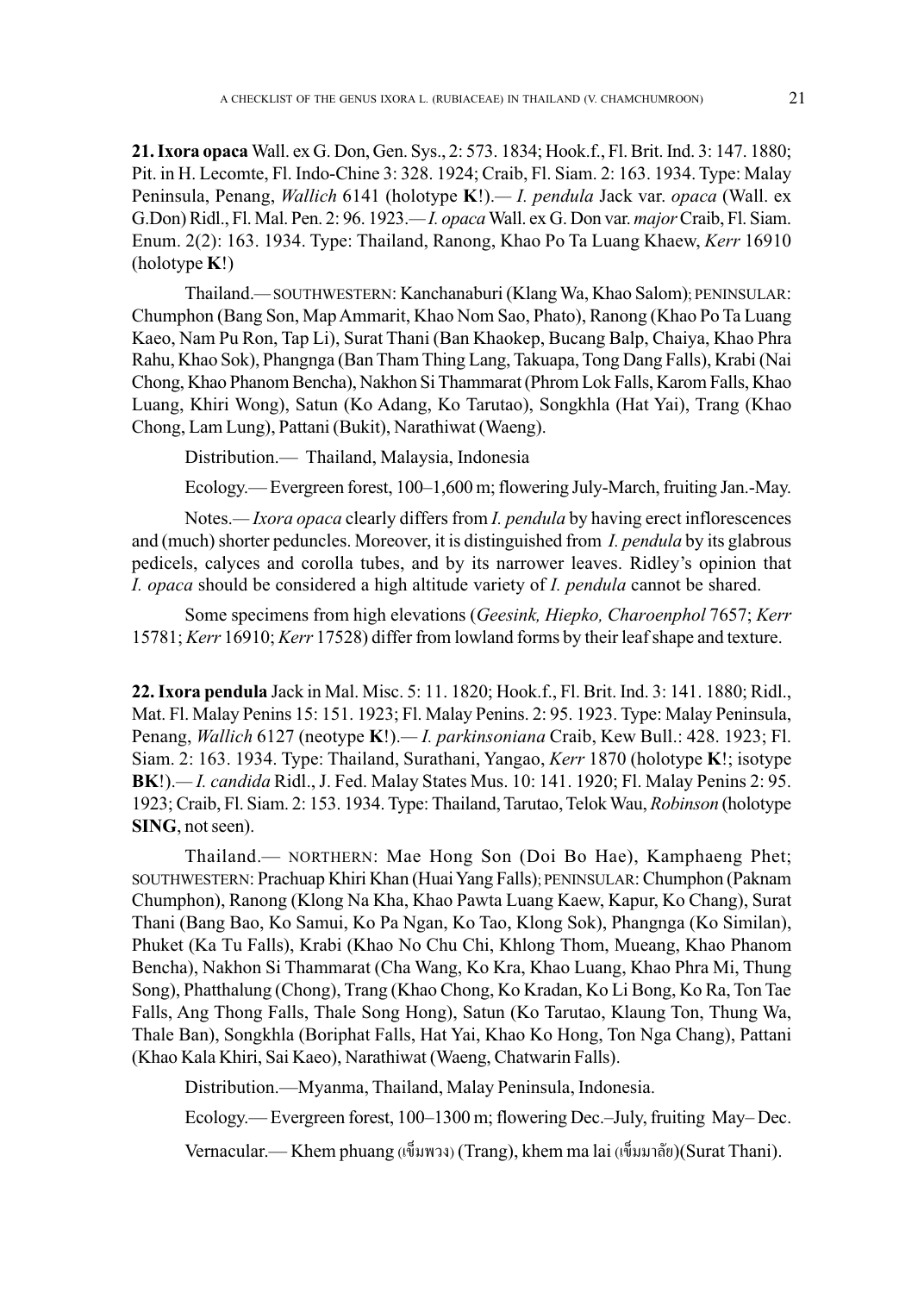**21. Ixora opaca** Wall. ex G. Don, Gen. Sys., 2: 573. 1834; Hook.f., Fl. Brit. Ind. 3: 147. 1880; Pit. in H. Lecomte, Fl. Indo-Chine 3: 328. 1924; Craib, Fl. Siam. 2: 163. 1934. Type: Malay Peninsula, Penang, *Wallich* 6141 (holotype **K**!).*— I. pendula* Jack var. *opaca* (Wall. ex G.Don) Ridl., Fl. Mal. Pen. 2: 96. 1923.*— I. opaca* Wall. ex G. Don var. *major* Craib, Fl. Siam. Enum. 2(2): 163. 1934. Type: Thailand, Ranong, Khao Po Ta Luang Khaew, *Kerr* 16910 (holotype **K**!)

Thailand.*—* SOUTHWESTERN: Kanchanaburi (Klang Wa, Khao Salom); PENINSULAR: Chumphon (Bang Son, Map Ammarit, Khao Nom Sao, Phato), Ranong (Khao Po Ta Luang Kaeo, Nam Pu Ron, Tap Li), Surat Thani (Ban Khaokep, Bucang Balp, Chaiya, Khao Phra Rahu, Khao Sok), Phangnga (Ban Tham Thing Lang, Takuapa, Tong Dang Falls), Krabi (Nai Chong, Khao Phanom Bencha), Nakhon Si Thammarat (Phrom Lok Falls, Karom Falls, Khao Luang, Khiri Wong), Satun (Ko Adang, Ko Tarutao), Songkhla (Hat Yai), Trang (Khao Chong, Lam Lung), Pattani (Bukit), Narathiwat (Waeng).

Distribution.— Thailand, Malaysia, Indonesia

Ecology.— Evergreen forest, 100–1,600 m; flowering July-March, fruiting Jan.-May.

Notes.*— Ixora opaca* clearly differs from *I. pendula* by having erect inflorescences and (much) shorter peduncles. Moreover, it is distinguished from *I. pendula* by its glabrous pedicels, calyces and corolla tubes, and by its narrower leaves. Ridley's opinion that *I. opaca* should be considered a high altitude variety of *I. pendula* cannot be shared.

Some specimens from high elevations (*Geesink, Hiepko, Charoenphol* 7657; *Kerr* 15781; *Kerr* 16910; *Kerr* 17528) differ from lowland forms by their leaf shape and texture.

**22. Ixora pendula** Jack in Mal. Misc. 5: 11. 1820; Hook.f., Fl. Brit. Ind. 3: 141. 1880; Ridl., Mat. Fl. Malay Penins 15: 151. 1923; Fl. Malay Penins. 2: 95. 1923. Type: Malay Peninsula, Penang, *Wallich* 6127 (neotype **K**!).*— I. parkinsoniana* Craib, Kew Bull.: 428. 1923; Fl. Siam. 2: 163. 1934. Type: Thailand, Surathani, Yangao, *Kerr* 1870 (holotype **K**!; isotype **BK**!).*— I. candida* Ridl., J. Fed. Malay States Mus. 10: 141. 1920; Fl. Malay Penins 2: 95. 1923; Craib, Fl. Siam. 2: 153. 1934. Type: Thailand, Tarutao, Telok Wau, *Robinson* (holotype **SING**, not seen).

Thailand.— NORTHERN: Mae Hong Son (Doi Bo Hae), Kamphaeng Phet; SOUTHWESTERN: Prachuap Khiri Khan (Huai Yang Falls); PENINSULAR: Chumphon (Paknam Chumphon), Ranong (Klong Na Kha, Khao Pawta Luang Kaew, Kapur, Ko Chang), Surat Thani (Bang Bao, Ko Samui, Ko Pa Ngan, Ko Tao, Klong Sok), Phangnga (Ko Similan), Phuket (Ka Tu Falls), Krabi (Khao No Chu Chi, Khlong Thom, Mueang, Khao Phanom Bencha), Nakhon Si Thammarat (Cha Wang, Ko Kra, Khao Luang, Khao Phra Mi, Thung Song), Phatthalung (Chong), Trang (Khao Chong, Ko Kradan, Ko Li Bong, Ko Ra, Ton Tae Falls, Ang Thong Falls, Thale Song Hong), Satun (Ko Tarutao, Klaung Ton, Thung Wa, Thale Ban), Songkhla (Boriphat Falls, Hat Yai, Khao Ko Hong, Ton Nga Chang), Pattani (Khao Kala Khiri, Sai Kaeo), Narathiwat (Waeng, Chatwarin Falls).

Distribution.—Myanma, Thailand, Malay Peninsula, Indonesia.

Ecology.— Evergreen forest, 100–1300 m; flowering Dec.–July, fruiting May– Dec.

Vernacular.— Khem phuang (เข็มพวง) (Trang), khem ma lai (เข็มมาลัย)(Surat Thani).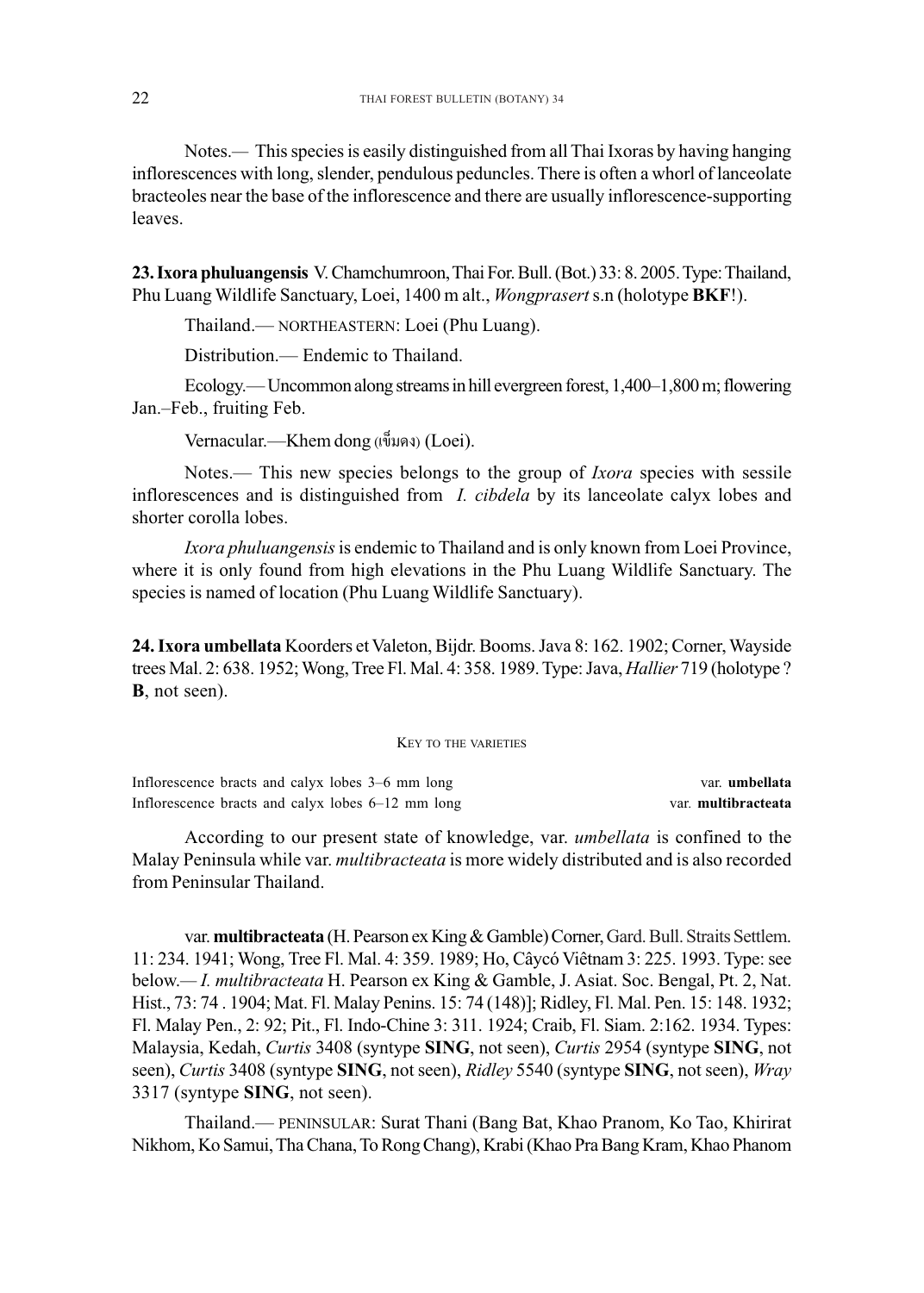Notes.*—* This species is easily distinguished from all Thai Ixoras by having hanging inflorescences with long, slender, pendulous peduncles. There is often a whorl of lanceolate bracteoles near the base of the inflorescence and there are usually inflorescence-supporting leaves. Notes.— This species is easily distinguished from all Thai Ixoras<br>scences with long, slender, pendulous peduncles. There is often a v<br>les near the base of the inflorescence and there are usually inflore<br>**ra phuluangensis**

**23. Ixora phuluangensis** V. Chamchumroon, Thai For. Bull. (Bot.) 33: 8. 2005. Type: Thailand, Phu Luang Wildlife Sanctuary, Loei, 1400 m alt., *Wongprasert* s.n (holotype **BKF**!).

Thailand.— NORTHEASTERN: Loei (Phu Luang).

Distribution.— Endemic to Thailand.

Ecology.— Uncommon along streams in hill evergreen forest, 1,400–1,800 m; flowering Jan.–Feb., fruiting Feb. fruiting Feb.

Vernacular.—Khem dong (เข็มดง) (Loei).

Notes.— This new species belongs to the group of *Ixora* species with sessile inflorescences and is distinguished from *I. cibdela* by its lanceolate calyx lobes and shorter corolla lobes.

*Ixora phuluangensis* is endemic to Thailand and is only known from Loei Province, where it is only found from high elevations in the Phu Luang Wildlife Sanctuary. The species is named of location (Phu Luang Wildlife Sanctuary).

**24. Ixora umbellata** Koorders et Valeton, Bijdr. Booms. Java 8: 162. 1902; Corner, Wayside trees Mal. 2: 638. 1952; Wong, Tree Fl. Mal. 4: 358. 1989. Type: Java, *Hallier* 719 (holotype ? **B**, not seen).

KEY TO THE VARIETIES

Inflorescence bracts and calyx lobes 3–6 mm long var. **umbellata** Inflorescence bracts and calyx lobes 6–12 mm long var. **multibracteata** 

According to our present state of knowledge, var. *umbellata* is confined to the Malay Peninsula while var. *multibracteata* is more widely distributed and is also recorded from Peninsular Thailand.

var. **multibracteata** (H. Pearson ex King & Gamble) Corner, Gard. Bull. Straits Settlem. 11: 234. 1941; Wong, Tree Fl. Mal. 4: 359. 1989; Ho, Câycó Viêtnam 3: 225. 1993. Type: see below.*— I. multibracteata* H. Pearson ex King & Gamble, J. Asiat. Soc. Bengal, Pt. 2, Nat. Hist., 73: 74 . 1904; Mat. Fl. Malay Penins. 15: 74 (148)]; Ridley, Fl. Mal. Pen. 15: 148. 1932; Fl. Malay Pen., 2: 92; Pit., Fl. Indo-Chine 3: 311. 1924; Craib, Fl. Siam. 2:162. 1934. Types: Malaysia, Kedah, *Curtis* 3408 (syntype **SING**, not seen), *Curtis* 2954 (syntype **SING**, not seen), *Curtis* 3408 (syntype **SING**, not seen), *Ridley* 5540 (syntype **SING**, not seen), *Wray* 3317 (syntype **SING**, not seen). below.— *I. multibracteata* H. Pearson ex King & Gamble, J. Asiat. Soc. Bengal, Pt. 2, Nat. Hist., 73: 74. 1904; Mat. Fl. Malay Penins. 15: 74 (148)]; Ridley, Fl. Mal. Pen. 15: 148. 1932; Fl. Malay Pen., 2: 92; Pit., Fl. I

Thailand.— PENINSULAR: Surat Thani (Bang Bat, Khao Pranom, Ko Tao, Khirirat Nikhom, Ko Samui, Tha Chana, To Rong Chang), Krabi (Khao Pra Bang Kram, Khao Phanom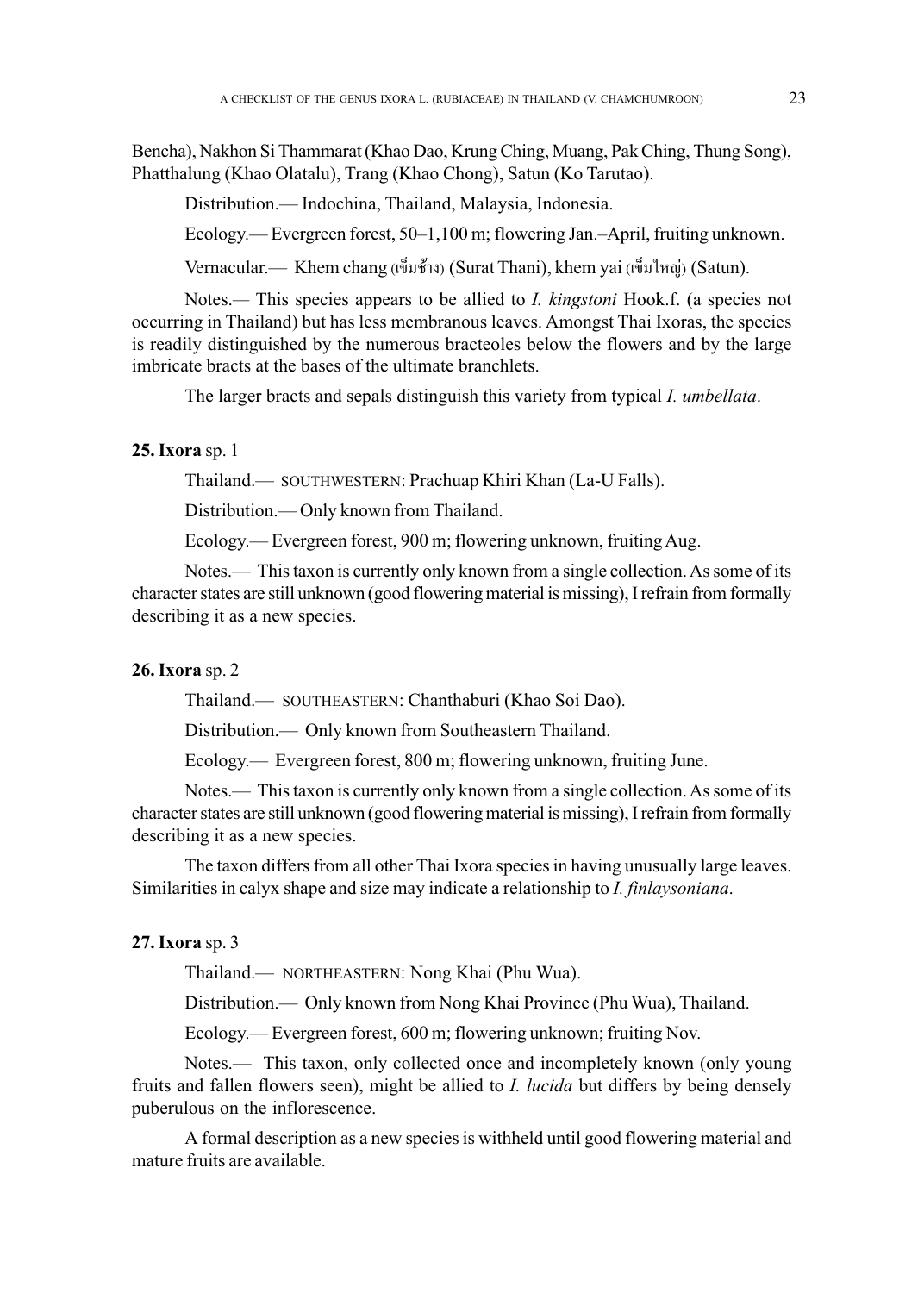Bencha), Nakhon Si Thammarat (Khao Dao, Krung Ching, Muang, Pak Ching, Thung Song), Phatthalung (Khao Olatalu), Trang (Khao Chong), Satun (Ko Tarutao).

Distribution.— Indochina, Thailand, Malaysia, Indonesia.

Ecology.— Evergreen forest, 50–1,100 m; flowering Jan.–April, fruiting unknown.

Vernacular.— Khem chang (เข็มช้าง) (Surat Thani), khem yai (เข็มใหญ่) (Satun).

Notes.*—* This species appears to be allied to *I. kingstoni* Hook.f. (a species not occurring in Thailand) but has less membranous leaves. Amongst Thai Ixoras, the species is readily distinguished by the numerous bracteoles below the flowers and by the large imbricate bracts at the bases of the ultimate branchlets.

The larger bracts and sepals distinguish this variety from typical *I. umbellata*.

# **25. Ixora** sp. 1

Thailand.— SOUTHWESTERN: Prachuap Khiri Khan (La-U Falls).

Distribution.— Only known from Thailand.

Ecology.— Evergreen forest, 900 m; flowering unknown, fruiting Aug.

Notes.— This taxon is currently only known from a single collection. As some of its character states are still unknown (good flowering material is missing), I refrain from formally describing it as a new species.

## **26. Ixora** sp. 2

Thailand.— SOUTHEASTERN: Chanthaburi (Khao Soi Dao).

Distribution.— Only known from Southeastern Thailand.

Ecology.— Evergreen forest, 800 m; flowering unknown, fruiting June.

Notes.— This taxon is currently only known from a single collection. As some of its character states are still unknown (good flowering material is missing), I refrain from formally describing it as a new species.

The taxon differs from all other Thai Ixora species in having unusually large leaves. Similarities in calyx shape and size may indicate a relationship to *I. finlaysoniana*.

# **27. Ixora** sp. 3

Thailand.— NORTHEASTERN: Nong Khai (Phu Wua).

Distribution.— Only known from Nong Khai Province (Phu Wua), Thailand.

Ecology.— Evergreen forest, 600 m; flowering unknown; fruiting Nov.

Notes.— This taxon, only collected once and incompletely known (only young fruits and fallen flowers seen), might be allied to *I. lucida* but differs by being densely puberulous on the inflorescence.

A formal description as a new species is withheld until good flowering material and mature fruits are available.